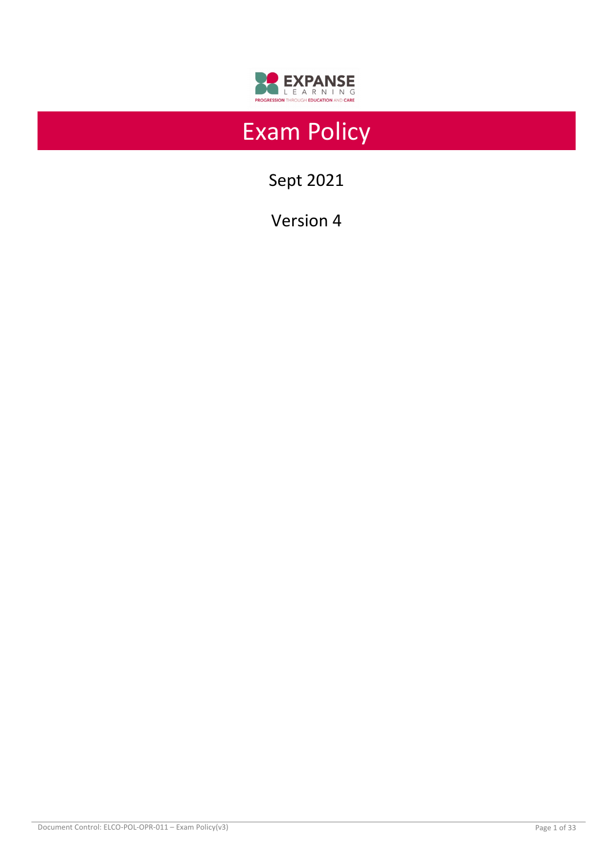

# Exam Policy

Sept 2021

Version 4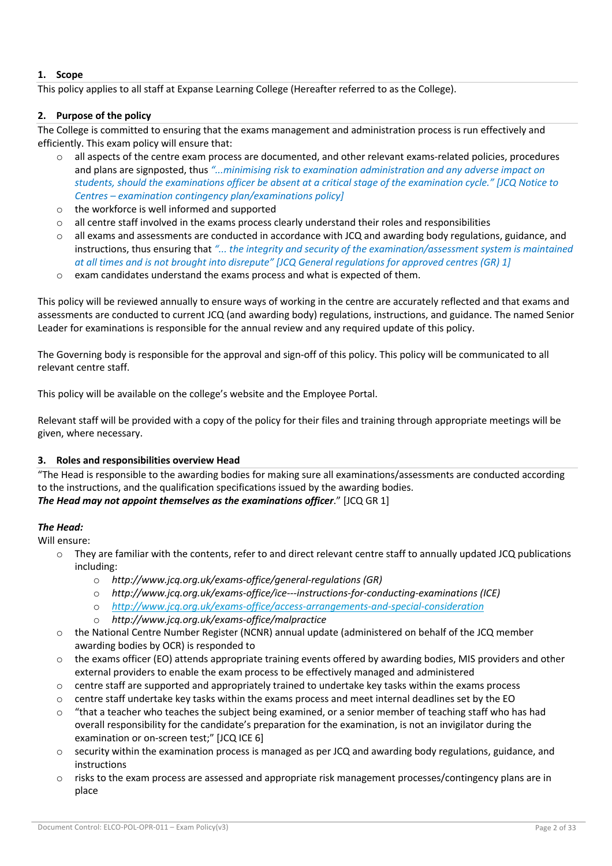# **1. Scope**

This policy applies to all staff at Expanse Learning College (Hereafter referred to as the College).

# **2. Purpose of the policy**

The College is committed to ensuring that the exams management and administration process is run effectively and efficiently. This exam policy will ensure that:

- o all aspects of the centre exam process are documented, and other relevant exams-related policies, procedures and plans are signposted, thus *"...minimising risk to examination administration and any adverse impact on students, should the examinations officer be absent at a critical stage of the examination cycle." [JCQ Notice to Centres – examination contingency plan/examinations policy]*
- o the workforce is well informed and supported
- $\circ$  all centre staff involved in the exams process clearly understand their roles and responsibilities
- all exams and assessments are conducted in accordance with JCQ and awarding body regulations, guidance, and instructions, thus ensuring that *"... the integrity and security of the examination/assessment system is maintained at all times and is not brought into disrepute" [JCQ General regulations for approved centres (GR) 1]*
- o exam candidates understand the exams process and what is expected of them.

This policy will be reviewed annually to ensure ways of working in the centre are accurately reflected and that exams and assessments are conducted to current JCQ (and awarding body) regulations, instructions, and guidance. The named Senior Leader for examinations is responsible for the annual review and any required update of this policy.

The Governing body is responsible for the approval and sign-off of this policy. This policy will be communicated to all relevant centre staff.

This policy will be available on the college's website and the Employee Portal.

Relevant staff will be provided with a copy of the policy for their files and training through appropriate meetings will be given, where necessary.

# **3. Roles and responsibilities overview Head**

"The Head is responsible to the awarding bodies for making sure all examinations/assessments are conducted according to the instructions, and the qualification specifications issued by the awarding bodies. *The Head may not appoint themselves as the examinations officer*." [JCQ GR 1]

# *The Head:*

Will ensure:

- $\circ$  They are familiar with the contents, refer to and direct relevant centre staff to annually updated JCQ publications including:
	- o *http://www.jcq.org.uk/exams-office/general-regulations (GR)*
	- o *http://www.jcq.org.uk/exams-office/ice---instructions-for-conducting-examinations (ICE)*
	- o *http://www.jcq.org.uk/exams-office/access-arrangements-and-special-consideration*
	- o *http://www.jcq.org.uk/exams-office/malpractice*
- o the National Centre Number Register (NCNR) annual update (administered on behalf of the JCQ member awarding bodies by OCR) is responded to
- $\circ$  the exams officer (EO) attends appropriate training events offered by awarding bodies, MIS providers and other external providers to enable the exam process to be effectively managed and administered
- $\circ$  centre staff are supported and appropriately trained to undertake key tasks within the exams process
- $\circ$  centre staff undertake key tasks within the exams process and meet internal deadlines set by the EO
- $\circ$  "that a teacher who teaches the subject being examined, or a senior member of teaching staff who has had overall responsibility for the candidate's preparation for the examination, is not an invigilator during the examination or on-screen test;" [JCQ ICE 6]
- $\circ$  security within the examination process is managed as per JCQ and awarding body regulations, guidance, and instructions
- o risks to the exam process are assessed and appropriate risk management processes/contingency plans are in place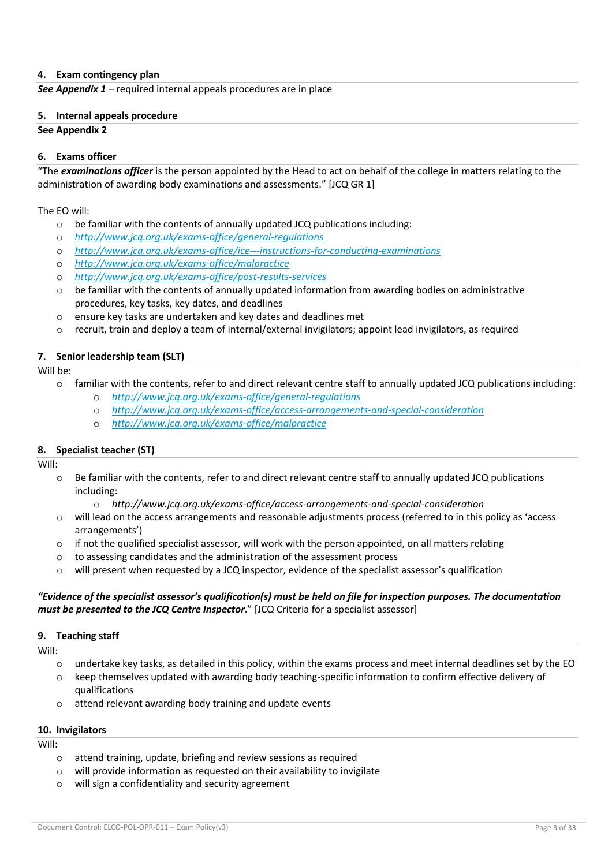# **4. Exam contingency plan**

*See Appendix 1 –* required internal appeals procedures are in place

## **5. Internal appeals procedure**

## **See Appendix 2**

## **6. Exams officer**

"The *examinations officer* is the person appointed by the Head to act on behalf of the college in matters relating to the administration of awarding body examinations and assessments." [JCQ GR 1]

The EO will:

- $\circ$  be familiar with the contents of annually updated JCQ publications including:
- o *http://www.jcq.org.uk/exams-office/general-regulations*
- o *http://www.jcq.org.uk/exams-office/ice---instructions-for-conducting-examinations*
- o *http://www.jcq.org.uk/exams-office/malpractice*
- o *http://www.jcq.org.uk/exams-office/post-results-services*
- $\circ$  be familiar with the contents of annually updated information from awarding bodies on administrative procedures, key tasks, key dates, and deadlines
- o ensure key tasks are undertaken and key dates and deadlines met
- $\circ$  recruit, train and deploy a team of internal/external invigilators; appoint lead invigilators, as required

# **7. Senior leadership team (SLT)**

Will be:

- $\circ$  familiar with the contents, refer to and direct relevant centre staff to annually updated JCQ publications including:
	- o *http://www.jcq.org.uk/exams-office/general-regulations*
	- o *http://www.jcq.org.uk/exams-office/access-arrangements-and-special-consideration*
	- o *http://www.jcq.org.uk/exams-office/malpractice*

## **8. Specialist teacher (ST)**

Will:

- o Be familiar with the contents, refer to and direct relevant centre staff to annually updated JCQ publications including:
	- o *http://www.jcq.org.uk/exams-office/access-arrangements-and-special-consideration*
- o will lead on the access arrangements and reasonable adjustments process (referred to in this policy as 'access arrangements')
- $\circ$  if not the qualified specialist assessor, will work with the person appointed, on all matters relating
- o to assessing candidates and the administration of the assessment process
- $\circ$  will present when requested by a JCQ inspector, evidence of the specialist assessor's qualification

# *"Evidence of the specialist assessor's qualification(s) must be held on file for inspection purposes. The documentation must be presented to the JCQ Centre Inspector*." [JCQ Criteria for a specialist assessor]

## **9. Teaching staff**

Will:

- $\circ$  undertake key tasks, as detailed in this policy, within the exams process and meet internal deadlines set by the EO
- o keep themselves updated with awarding body teaching-specific information to confirm effective delivery of qualifications
- o attend relevant awarding body training and update events

## **10. Invigilators**

Will**:**

- o attend training, update, briefing and review sessions as required
- o will provide information as requested on their availability to invigilate
- o will sign a confidentiality and security agreement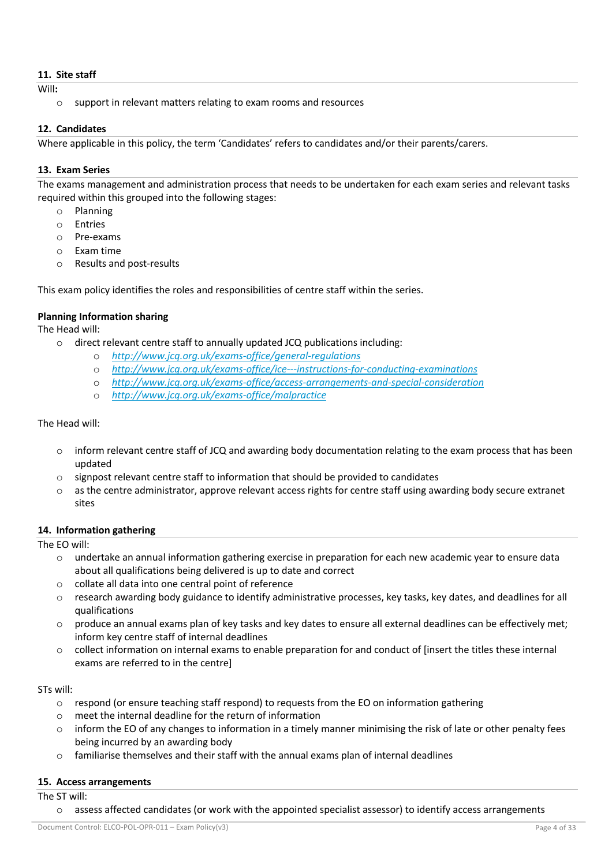# **11. Site staff**

Will**:**

o support in relevant matters relating to exam rooms and resources

# **12. Candidates**

Where applicable in this policy, the term 'Candidates' refers to candidates and/or their parents/carers.

# **13. Exam Series**

The exams management and administration process that needs to be undertaken for each exam series and relevant tasks required within this grouped into the following stages:

- o Planning
- o Entries
- o Pre-exams
- o Exam time
- o Results and post-results

This exam policy identifies the roles and responsibilities of centre staff within the series.

# **Planning Information sharing**

The Head will:

- o direct relevant centre staff to annually updated JCQ publications including:
	- o *http://www.jcq.org.uk/exams-office/general-regulations*
	- o *http://www.jcq.org.uk/exams-office/ice---instructions-for-conducting-examinations*
	- o *http://www.jcq.org.uk/exams-office/access-arrangements-and-special-consideration*
	- o *http://www.jcq.org.uk/exams-office/malpractice*

# The Head will:

- $\circ$  inform relevant centre staff of JCQ and awarding body documentation relating to the exam process that has been updated
- o signpost relevant centre staff to information that should be provided to candidates
- $\circ$  as the centre administrator, approve relevant access rights for centre staff using awarding body secure extranet sites

## **14. Information gathering**

## The EO will:

- o undertake an annual information gathering exercise in preparation for each new academic year to ensure data about all qualifications being delivered is up to date and correct
- o collate all data into one central point of reference
- o research awarding body guidance to identify administrative processes, key tasks, key dates, and deadlines for all qualifications
- $\circ$  produce an annual exams plan of key tasks and key dates to ensure all external deadlines can be effectively met; inform key centre staff of internal deadlines
- $\circ$  collect information on internal exams to enable preparation for and conduct of linsert the titles these internal exams are referred to in the centre]

## STs will:

- $\circ$  respond (or ensure teaching staff respond) to requests from the EO on information gathering
- $\circ$  meet the internal deadline for the return of information
- o inform the EO of any changes to information in a timely manner minimising the risk of late or other penalty fees being incurred by an awarding body
- $\circ$  familiarise themselves and their staff with the annual exams plan of internal deadlines

# **15. Access arrangements**

The ST will:

 $\circ$  assess affected candidates (or work with the appointed specialist assessor) to identify access arrangements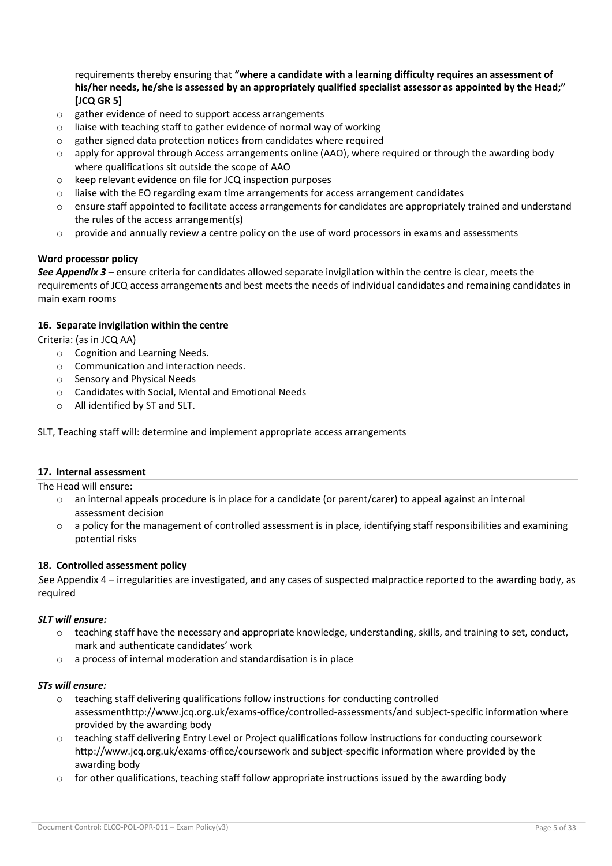requirements thereby ensuring that **"where a candidate with a learning difficulty requires an assessment of his/her needs, he/she is assessed by an appropriately qualified specialist assessor as appointed by the Head;" [JCQ GR 5]** 

- o gather evidence of need to support access arrangements
- o liaise with teaching staff to gather evidence of normal way of working
- o gather signed data protection notices from candidates where required
- $\circ$  apply for approval through Access arrangements online (AAO), where required or through the awarding body where qualifications sit outside the scope of AAO
- o keep relevant evidence on file for JCQ inspection purposes
- $\circ$  liaise with the EO regarding exam time arrangements for access arrangement candidates
- $\circ$  ensure staff appointed to facilitate access arrangements for candidates are appropriately trained and understand the rules of the access arrangement(s)
- $\circ$  provide and annually review a centre policy on the use of word processors in exams and assessments

# **Word processor policy**

*See Appendix 3* – ensure criteria for candidates allowed separate invigilation within the centre is clear, meets the requirements of JCQ access arrangements and best meets the needs of individual candidates and remaining candidates in main exam rooms

## **16. Separate invigilation within the centre**

Criteria: (as in JCQ AA)

- o Cognition and Learning Needs.
- o Communication and interaction needs.
- o Sensory and Physical Needs
- o Candidates with Social, Mental and Emotional Needs
- o All identified by ST and SLT.

SLT, Teaching staff will: determine and implement appropriate access arrangements

## **17. Internal assessment**

The Head will ensure:

- o an internal appeals procedure is in place for a candidate (or parent/carer) to appeal against an internal assessment decision
- $\circ$  a policy for the management of controlled assessment is in place, identifying staff responsibilities and examining potential risks

# **18. Controlled assessment policy**

See Appendix 4 – irregularities are investigated, and any cases of suspected malpractice reported to the awarding body, as required

## *SLT will ensure:*

- $\circ$  teaching staff have the necessary and appropriate knowledge, understanding, skills, and training to set, conduct, mark and authenticate candidates' work
- o a process of internal moderation and standardisation is in place

## *STs will ensure:*

- $\circ$  teaching staff delivering qualifications follow instructions for conducting controlled assessmenthttp://www.jcq.org.uk/exams-office/controlled-assessments/and subject-specific information where provided by the awarding body
- $\circ$  teaching staff delivering Entry Level or Project qualifications follow instructions for conducting coursework http://www.jcq.org.uk/exams-office/coursework and subject-specific information where provided by the awarding body
- $\circ$  for other qualifications, teaching staff follow appropriate instructions issued by the awarding body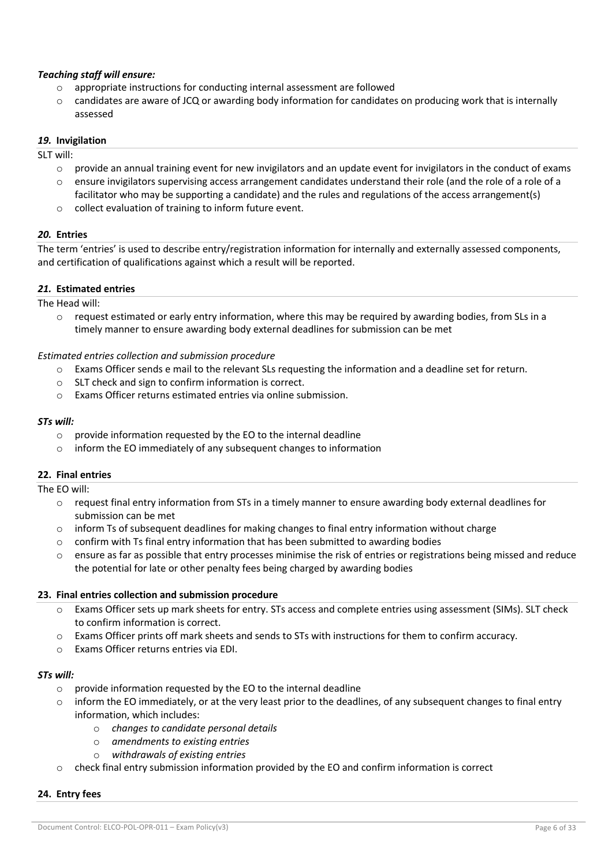# *Teaching staff will ensure:*

- o appropriate instructions for conducting internal assessment are followed
- $\circ$  candidates are aware of JCQ or awarding body information for candidates on producing work that is internally assessed

## *19.* **Invigilation**

SLT will:

- $\circ$  provide an annual training event for new invigilators and an update event for invigilators in the conduct of exams
- $\circ$  ensure invigilators supervising access arrangement candidates understand their role (and the role of a role of a facilitator who may be supporting a candidate) and the rules and regulations of the access arrangement(s)
- o collect evaluation of training to inform future event.

# *20.* **Entries**

The term 'entries' is used to describe entry/registration information for internally and externally assessed components, and certification of qualifications against which a result will be reported.

# *21.* **Estimated entries**

The Head will:

 $\circ$  request estimated or early entry information, where this may be required by awarding bodies, from SLs in a timely manner to ensure awarding body external deadlines for submission can be met

# *Estimated entries collection and submission procedure*

- o Exams Officer sends e mail to the relevant SLs requesting the information and a deadline set for return.
- o SLT check and sign to confirm information is correct.
- o Exams Officer returns estimated entries via online submission.

## *STs will:*

- o provide information requested by the EO to the internal deadline
- o inform the EO immediately of any subsequent changes to information

# **22. Final entries**

## The EO will:

- $\circ$  request final entry information from STs in a timely manner to ensure awarding body external deadlines for submission can be met
- $\circ$  inform Ts of subsequent deadlines for making changes to final entry information without charge
- o confirm with Ts final entry information that has been submitted to awarding bodies
- $\circ$  ensure as far as possible that entry processes minimise the risk of entries or registrations being missed and reduce the potential for late or other penalty fees being charged by awarding bodies

## **23. Final entries collection and submission procedure**

- o Exams Officer sets up mark sheets for entry. STs access and complete entries using assessment (SIMs). SLT check to confirm information is correct.
- o Exams Officer prints off mark sheets and sends to STs with instructions for them to confirm accuracy.
- o Exams Officer returns entries via EDI.

## *STs will:*

- o provide information requested by the EO to the internal deadline
- $\circ$  inform the EO immediately, or at the very least prior to the deadlines, of any subsequent changes to final entry information, which includes:
	- o *changes to candidate personal details*
	- o *amendments to existing entries*
	- o *withdrawals of existing entries*
- $\circ$  check final entry submission information provided by the EO and confirm information is correct

## **24. Entry fees**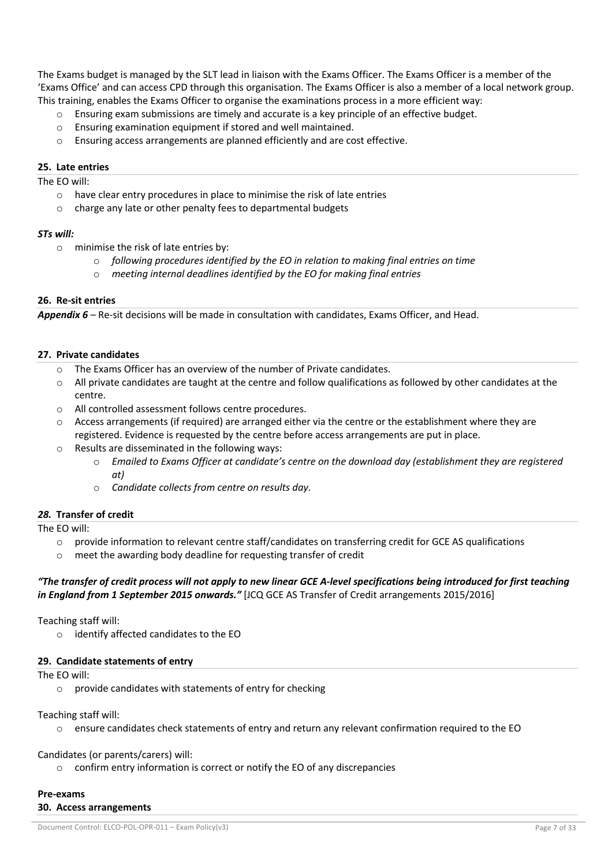The Exams budget is managed by the SLT lead in liaison with the Exams Officer. The Exams Officer is a member of the 'Exams Office' and can access CPD through this organisation. The Exams Officer is also a member of a local network group. This training, enables the Exams Officer to organise the examinations process in a more efficient way:

- $\circ$  Ensuring exam submissions are timely and accurate is a key principle of an effective budget.
- o Ensuring examination equipment if stored and well maintained.
- o Ensuring access arrangements are planned efficiently and are cost effective.

# **25. Late entries**

The EO will:

- o have clear entry procedures in place to minimise the risk of late entries
- o charge any late or other penalty fees to departmental budgets

# *STs will:*

- o minimise the risk of late entries by:
	- o *following procedures identified by the EO in relation to making final entries on time*
	- o *meeting internal deadlines identified by the EO for making final entries*

# **26. Re-sit entries**

*Appendix 6* – Re-sit decisions will be made in consultation with candidates, Exams Officer, and Head.

# **27. Private candidates**

- The Exams Officer has an overview of the number of Private candidates.
- $\circ$  All private candidates are taught at the centre and follow qualifications as followed by other candidates at the centre.
- o All controlled assessment follows centre procedures.
- o Access arrangements (if required) are arranged either via the centre or the establishment where they are registered. Evidence is requested by the centre before access arrangements are put in place.
- o Results are disseminated in the following ways:
	- o *Emailed to Exams Officer at candidate's centre on the download day (establishment they are registered at)*
	- o *Candidate collects from centre on results day.*

# *28.* **Transfer of credit**

The EO will:

- $\circ$  provide information to relevant centre staff/candidates on transferring credit for GCE AS qualifications
- o meet the awarding body deadline for requesting transfer of credit

# *"The transfer of credit process will not apply to new linear GCE A-level specifications being introduced for first teaching in England from 1 September 2015 onwards."* [JCQ GCE AS Transfer of Credit arrangements 2015/2016]

Teaching staff will:

o identify affected candidates to the EO

# **29. Candidate statements of entry**

The EO will:

 $\circ$  provide candidates with statements of entry for checking

# Teaching staff will:

o ensure candidates check statements of entry and return any relevant confirmation required to the EO

# Candidates (or parents/carers) will:

o confirm entry information is correct or notify the EO of any discrepancies

# **Pre-exams**

# **30. Access arrangements**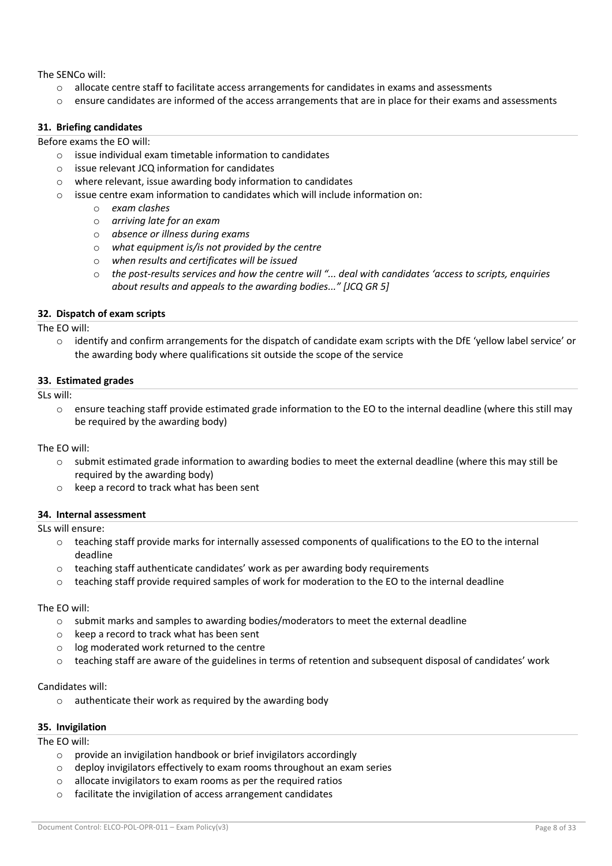The SENCo will:

- $\circ$  allocate centre staff to facilitate access arrangements for candidates in exams and assessments
- $\circ$  ensure candidates are informed of the access arrangements that are in place for their exams and assessments

# **31. Briefing candidates**

Before exams the EO will:

- o issue individual exam timetable information to candidates
- o issue relevant JCQ information for candidates
- o where relevant, issue awarding body information to candidates
- o issue centre exam information to candidates which will include information on:
	- o *exam clashes*
	- o *arriving late for an exam*
	- o *absence or illness during exams*
	- o *what equipment is/is not provided by the centre*
	- o *when results and certificates will be issued*
	- o *the post-results services and how the centre will "... deal with candidates 'access to scripts, enquiries about results and appeals to the awarding bodies..." [JCQ GR 5]*

## **32. Dispatch of exam scripts**

The EO will:

 $\circ$  identify and confirm arrangements for the dispatch of candidate exam scripts with the DfE 'yellow label service' or the awarding body where qualifications sit outside the scope of the service

## **33. Estimated grades**

SLs will:

 $\circ$  ensure teaching staff provide estimated grade information to the EO to the internal deadline (where this still may be required by the awarding body)

The EO will:

- $\circ$  submit estimated grade information to awarding bodies to meet the external deadline (where this may still be required by the awarding body)
- o keep a record to track what has been sent

## **34. Internal assessment**

SLs will ensure:

- $\circ$  teaching staff provide marks for internally assessed components of qualifications to the EO to the internal deadline
- $\circ$  teaching staff authenticate candidates' work as per awarding body requirements
- $\circ$  teaching staff provide required samples of work for moderation to the EO to the internal deadline

## The EO will:

- $\circ$  submit marks and samples to awarding bodies/moderators to meet the external deadline
- o keep a record to track what has been sent
- o log moderated work returned to the centre
- $\circ$  teaching staff are aware of the guidelines in terms of retention and subsequent disposal of candidates' work

## Candidates will:

o authenticate their work as required by the awarding body

## **35. Invigilation**

# The EO will:

- o provide an invigilation handbook or brief invigilators accordingly
- o deploy invigilators effectively to exam rooms throughout an exam series
- o allocate invigilators to exam rooms as per the required ratios
- o facilitate the invigilation of access arrangement candidates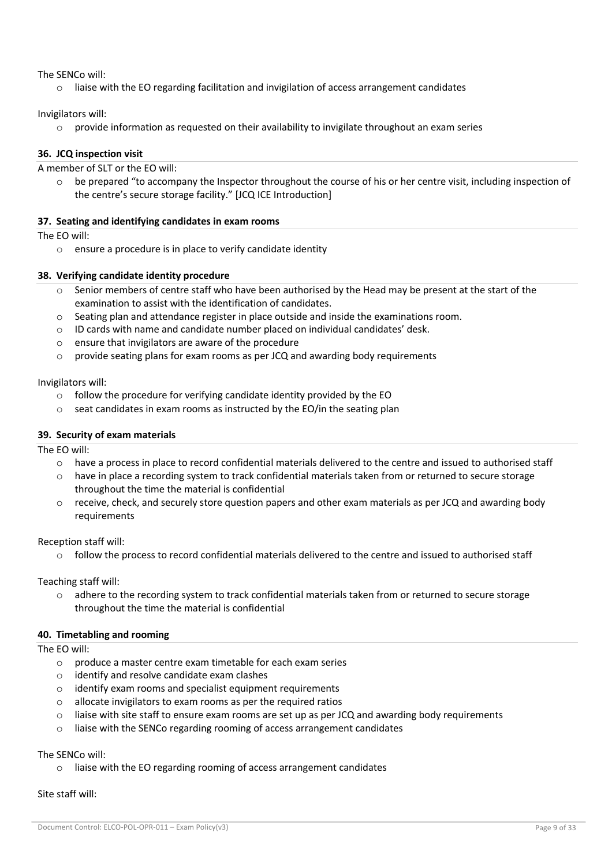The SENCo will:

 $\circ$  liaise with the EO regarding facilitation and invigilation of access arrangement candidates

Invigilators will:

 $\circ$  provide information as requested on their availability to invigilate throughout an exam series

## **36. JCQ inspection visit**

A member of SLT or the EO will:

 $\circ$  be prepared "to accompany the Inspector throughout the course of his or her centre visit, including inspection of the centre's secure storage facility." [JCQ ICE Introduction]

# **37. Seating and identifying candidates in exam rooms**

The EO will:

o ensure a procedure is in place to verify candidate identity

## **38. Verifying candidate identity procedure**

- $\circ$  Senior members of centre staff who have been authorised by the Head may be present at the start of the examination to assist with the identification of candidates.
- $\circ$  Seating plan and attendance register in place outside and inside the examinations room.
- $\circ$  ID cards with name and candidate number placed on individual candidates' desk.
- o ensure that invigilators are aware of the procedure
- o provide seating plans for exam rooms as per JCQ and awarding body requirements

Invigilators will:

- $\circ$  follow the procedure for verifying candidate identity provided by the EO
- $\circ$  seat candidates in exam rooms as instructed by the EO/in the seating plan

# **39. Security of exam materials**

The EO will:

- o have a process in place to record confidential materials delivered to the centre and issued to authorised staff
- o have in place a recording system to track confidential materials taken from or returned to secure storage throughout the time the material is confidential
- $\circ$  receive, check, and securely store question papers and other exam materials as per JCQ and awarding body requirements

Reception staff will:

 $\circ$  follow the process to record confidential materials delivered to the centre and issued to authorised staff

Teaching staff will:

 $\circ$  adhere to the recording system to track confidential materials taken from or returned to secure storage throughout the time the material is confidential

# **40. Timetabling and rooming**

The EO will:

- o produce a master centre exam timetable for each exam series
- o identify and resolve candidate exam clashes
- o identify exam rooms and specialist equipment requirements
- o allocate invigilators to exam rooms as per the required ratios
- $\circ$  liaise with site staff to ensure exam rooms are set up as per JCQ and awarding body requirements
- o liaise with the SENCo regarding rooming of access arrangement candidates

The SENCo will:

o liaise with the EO regarding rooming of access arrangement candidates

## Site staff will: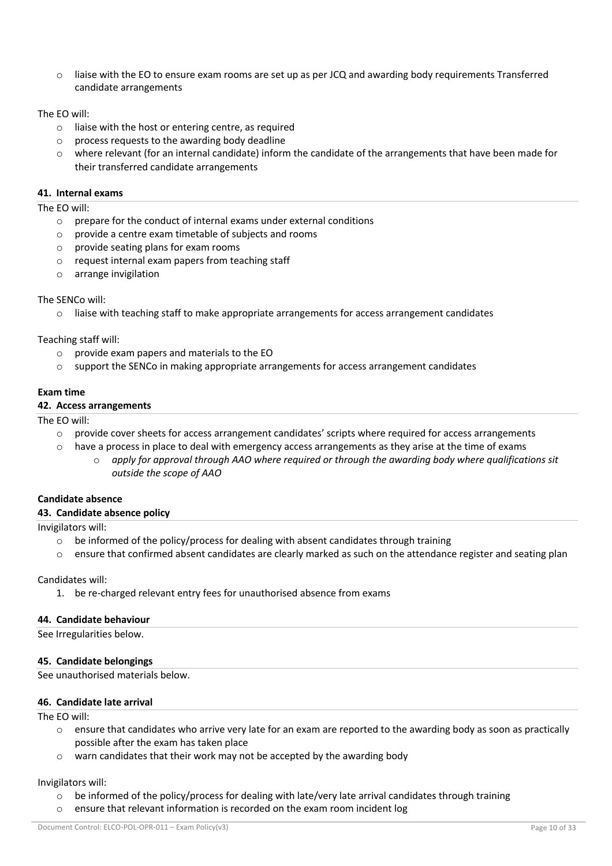liaise with the EO to ensure exam rooms are set up as per JCQ and awarding body requirements Transferred candidate arrangements

## The EO will:

- $\circ$  liaise with the host or entering centre, as required
- o process requests to the awarding body deadline
- o where relevant (for an internal candidate) inform the candidate of the arrangements that have been made for their transferred candidate arrangements

# **41. Internal exams**

## The EO will:

- $\circ$  prepare for the conduct of internal exams under external conditions
- o provide a centre exam timetable of subjects and rooms
- o provide seating plans for exam rooms
- o request internal exam papers from teaching staff
- o arrange invigilation

# The SENCo will:

 $\circ$  liaise with teaching staff to make appropriate arrangements for access arrangement candidates

# Teaching staff will:

- o provide exam papers and materials to the EO
- $\circ$  support the SENCo in making appropriate arrangements for access arrangement candidates

# **Exam time**

# **42. Access arrangements**

# The EO will:

- $\circ$  provide cover sheets for access arrangement candidates' scripts where required for access arrangements
- $\circ$  have a process in place to deal with emergency access arrangements as they arise at the time of exams
	- o *apply for approval through AAO where required or through the awarding body where qualifications sit outside the scope of AAO*

# **Candidate absence**

## **43. Candidate absence policy**

Invigilators will:

- $\circ$  be informed of the policy/process for dealing with absent candidates through training
- $\circ$  ensure that confirmed absent candidates are clearly marked as such on the attendance register and seating plan

Candidates will:

1. be re-charged relevant entry fees for unauthorised absence from exams

# **44. Candidate behaviour**

See Irregularities below.

# **45. Candidate belongings**

See unauthorised materials below.

## **46. Candidate late arrival**

The EO will:

- $\circ$  ensure that candidates who arrive very late for an exam are reported to the awarding body as soon as practically possible after the exam has taken place
- o warn candidates that their work may not be accepted by the awarding body

## Invigilators will:

- $\circ$  be informed of the policy/process for dealing with late/very late arrival candidates through training
- $\circ$  ensure that relevant information is recorded on the exam room incident log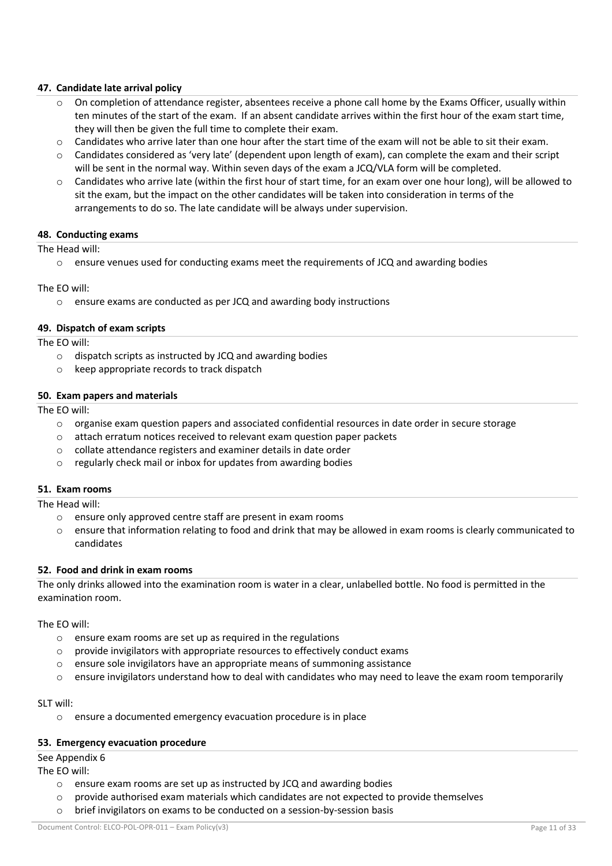# **47. Candidate late arrival policy**

- $\circ$  On completion of attendance register, absentees receive a phone call home by the Exams Officer, usually within ten minutes of the start of the exam. If an absent candidate arrives within the first hour of the exam start time, they will then be given the full time to complete their exam.
- $\circ$  Candidates who arrive later than one hour after the start time of the exam will not be able to sit their exam.
- $\circ$  Candidates considered as 'very late' (dependent upon length of exam), can complete the exam and their script will be sent in the normal way. Within seven days of the exam a JCQ/VLA form will be completed.
- $\circ$  Candidates who arrive late (within the first hour of start time, for an exam over one hour long), will be allowed to sit the exam, but the impact on the other candidates will be taken into consideration in terms of the arrangements to do so. The late candidate will be always under supervision.

#### **48. Conducting exams**

#### The Head will:

 $\circ$  ensure venues used for conducting exams meet the requirements of JCQ and awarding bodies

#### The EO will:

o ensure exams are conducted as per JCQ and awarding body instructions

#### **49. Dispatch of exam scripts**

The EO will:

- o dispatch scripts as instructed by JCQ and awarding bodies
- o keep appropriate records to track dispatch

#### **50. Exam papers and materials**

The EO will:

- $\circ$  organise exam question papers and associated confidential resources in date order in secure storage
- o attach erratum notices received to relevant exam question paper packets
- o collate attendance registers and examiner details in date order
- o regularly check mail or inbox for updates from awarding bodies

# **51. Exam rooms**

The Head will:

- o ensure only approved centre staff are present in exam rooms
- o ensure that information relating to food and drink that may be allowed in exam rooms is clearly communicated to candidates

## **52. Food and drink in exam rooms**

The only drinks allowed into the examination room is water in a clear, unlabelled bottle. No food is permitted in the examination room.

The EO will:

- o ensure exam rooms are set up as required in the regulations
- o provide invigilators with appropriate resources to effectively conduct exams
- $\circ$  ensure sole invigilators have an appropriate means of summoning assistance
- $\circ$  ensure invigilators understand how to deal with candidates who may need to leave the exam room temporarily

#### SLT will:

o ensure a documented emergency evacuation procedure is in place

#### **53. Emergency evacuation procedure**

# See Appendix 6

The EO will:

- o ensure exam rooms are set up as instructed by JCQ and awarding bodies
- $\circ$  provide authorised exam materials which candidates are not expected to provide themselves
- o brief invigilators on exams to be conducted on a session-by-session basis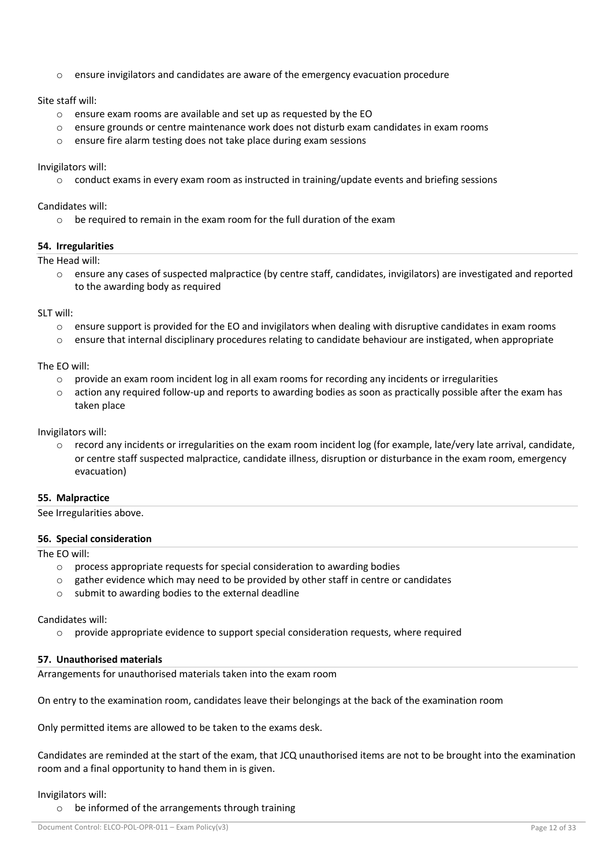$\circ$  ensure invigilators and candidates are aware of the emergency evacuation procedure

Site staff will:

- o ensure exam rooms are available and set up as requested by the EO
- o ensure grounds or centre maintenance work does not disturb exam candidates in exam rooms
- o ensure fire alarm testing does not take place during exam sessions

Invigilators will:

 $\circ$  conduct exams in every exam room as instructed in training/update events and briefing sessions

Candidates will:

o be required to remain in the exam room for the full duration of the exam

# **54. Irregularities**

The Head will:

o ensure any cases of suspected malpractice (by centre staff, candidates, invigilators) are investigated and reported to the awarding body as required

SLT will:

- $\circ$  ensure support is provided for the EO and invigilators when dealing with disruptive candidates in exam rooms
- $\circ$  ensure that internal disciplinary procedures relating to candidate behaviour are instigated, when appropriate

The EO will:

- $\circ$  provide an exam room incident log in all exam rooms for recording any incidents or irregularities
- $\circ$  action any required follow-up and reports to awarding bodies as soon as practically possible after the exam has taken place

Invigilators will:

 $\circ$  record any incidents or irregularities on the exam room incident log (for example, late/very late arrival, candidate, or centre staff suspected malpractice, candidate illness, disruption or disturbance in the exam room, emergency evacuation)

# **55. Malpractice**

See Irregularities above.

## **56. Special consideration**

The EO will:

- o process appropriate requests for special consideration to awarding bodies
- $\circ$  gather evidence which may need to be provided by other staff in centre or candidates
- o submit to awarding bodies to the external deadline

Candidates will:

o provide appropriate evidence to support special consideration requests, where required

# **57. Unauthorised materials**

Arrangements for unauthorised materials taken into the exam room

On entry to the examination room, candidates leave their belongings at the back of the examination room

Only permitted items are allowed to be taken to the exams desk.

Candidates are reminded at the start of the exam, that JCQ unauthorised items are not to be brought into the examination room and a final opportunity to hand them in is given.

## Invigilators will:

o be informed of the arrangements through training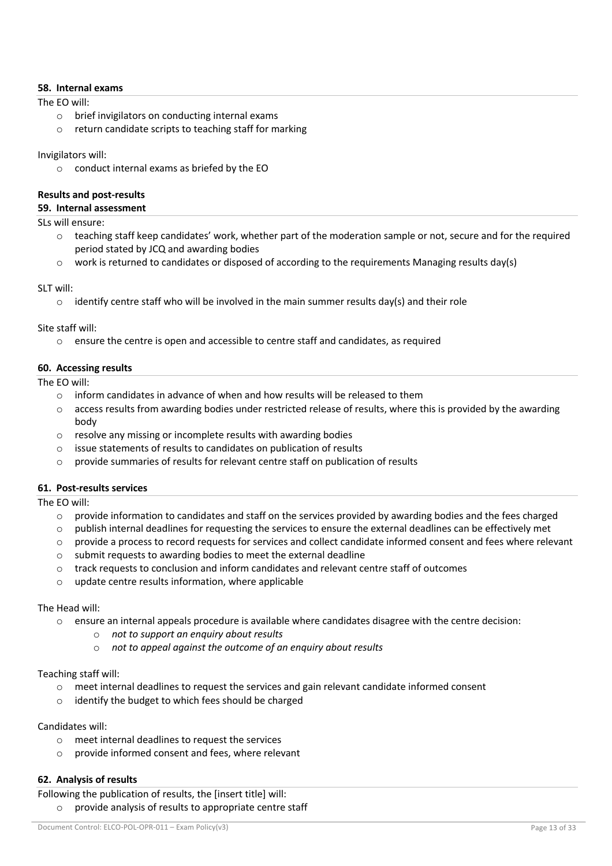## **58. Internal exams**

The EO will:

- o brief invigilators on conducting internal exams
- o return candidate scripts to teaching staff for marking

## Invigilators will:

o conduct internal exams as briefed by the EO

# **Results and post-results**

# **59. Internal assessment**

SLs will ensure:

- $\circ$  teaching staff keep candidates' work, whether part of the moderation sample or not, secure and for the required period stated by JCQ and awarding bodies
- work is returned to candidates or disposed of according to the requirements Managing results day(s)

## SLT will:

 $\circ$  identify centre staff who will be involved in the main summer results day(s) and their role

Site staff will:

 $\circ$  ensure the centre is open and accessible to centre staff and candidates, as required

# **60. Accessing results**

The EO will:

- $\circ$  inform candidates in advance of when and how results will be released to them
- $\circ$  access results from awarding bodies under restricted release of results, where this is provided by the awarding body
- o resolve any missing or incomplete results with awarding bodies
- o issue statements of results to candidates on publication of results
- $\circ$  provide summaries of results for relevant centre staff on publication of results

## **61. Post-results services**

The EO will:

- $\circ$  provide information to candidates and staff on the services provided by awarding bodies and the fees charged
- $\circ$  publish internal deadlines for requesting the services to ensure the external deadlines can be effectively met
- provide a process to record requests for services and collect candidate informed consent and fees where relevant
- o submit requests to awarding bodies to meet the external deadline
- o track requests to conclusion and inform candidates and relevant centre staff of outcomes
- o update centre results information, where applicable

## The Head will:

- $\circ$  ensure an internal appeals procedure is available where candidates disagree with the centre decision:
	- o *not to support an enquiry about results*
	- o *not to appeal against the outcome of an enquiry about results*

## Teaching staff will:

- $\circ$  meet internal deadlines to request the services and gain relevant candidate informed consent
- o identify the budget to which fees should be charged

# Candidates will:

- o meet internal deadlines to request the services
- o provide informed consent and fees, where relevant

# **62. Analysis of results**

Following the publication of results, the [insert title] will: o provide analysis of results to appropriate centre staff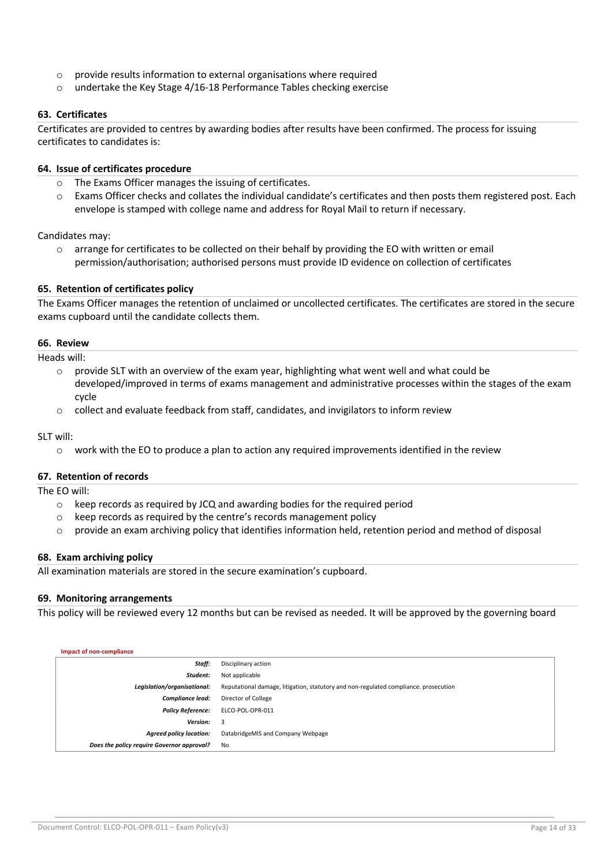- o provide results information to external organisations where required
- o undertake the Key Stage 4/16-18 Performance Tables checking exercise

## **63. Certificates**

Certificates are provided to centres by awarding bodies after results have been confirmed. The process for issuing certificates to candidates is:

## **64. Issue of certificates procedure**

- o The Exams Officer manages the issuing of certificates.
- o Exams Officer checks and collates the individual candidate's certificates and then posts them registered post. Each envelope is stamped with college name and address for Royal Mail to return if necessary.

Candidates may:

 $\circ$  arrange for certificates to be collected on their behalf by providing the EO with written or email permission/authorisation; authorised persons must provide ID evidence on collection of certificates

## **65. Retention of certificates policy**

The Exams Officer manages the retention of unclaimed or uncollected certificates. The certificates are stored in the secure exams cupboard until the candidate collects them.

#### **66. Review**

Heads will:

- $\circ$  provide SLT with an overview of the exam year, highlighting what went well and what could be developed/improved in terms of exams management and administrative processes within the stages of the exam cycle
- $\circ$  collect and evaluate feedback from staff, candidates, and invigilators to inform review

SLT will:

 $\circ$  work with the EO to produce a plan to action any required improvements identified in the review

## **67. Retention of records**

The EO will:

- $\circ$  keep records as required by JCQ and awarding bodies for the required period
- o keep records as required by the centre's records management policy
- $\circ$  provide an exam archiving policy that identifies information held, retention period and method of disposal

#### **68. Exam archiving policy**

All examination materials are stored in the secure examination's cupboard.

## **69. Monitoring arrangements**

This policy will be reviewed every 12 months but can be revised as needed. It will be approved by the governing board

| Impact of non-compliance                   |                                                                                      |
|--------------------------------------------|--------------------------------------------------------------------------------------|
| Staff:                                     | Disciplinary action                                                                  |
| Student:                                   | Not applicable                                                                       |
| Legislation/organisational:                | Reputational damage, litigation, statutory and non-regulated compliance. prosecution |
| <b>Compliance lead:</b>                    | Director of College                                                                  |
| <b>Policy Reference:</b>                   | ELCO-POL-OPR-011                                                                     |
| <b>Version:</b>                            | - 3                                                                                  |
| <b>Agreed policy location:</b>             | DatabridgeMIS and Company Webpage                                                    |
| Does the policy require Governor approval? | No                                                                                   |
|                                            |                                                                                      |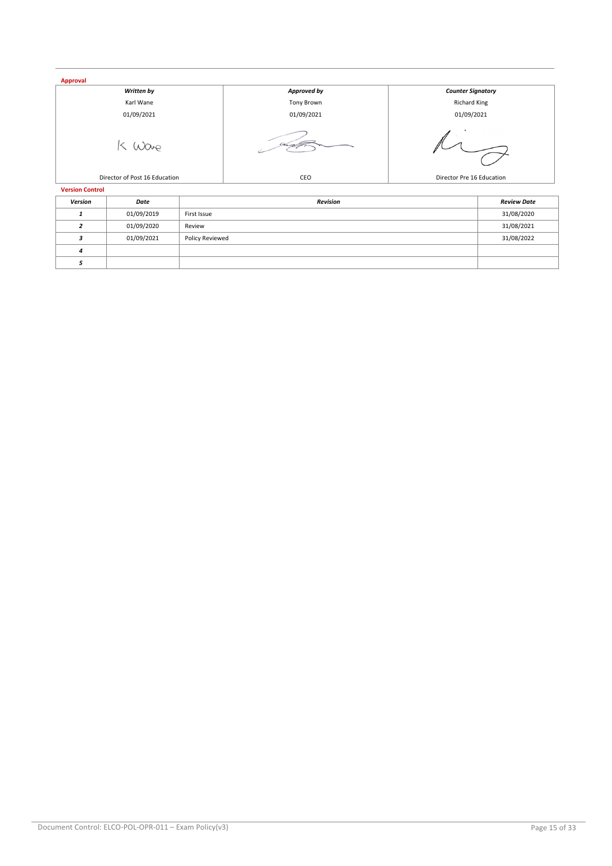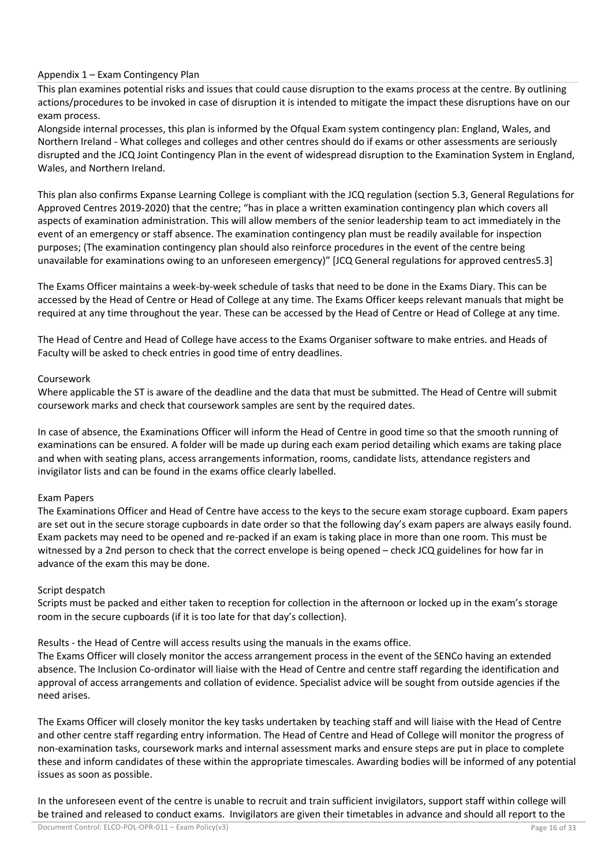# Appendix 1 – Exam Contingency Plan

This plan examines potential risks and issues that could cause disruption to the exams process at the centre. By outlining actions/procedures to be invoked in case of disruption it is intended to mitigate the impact these disruptions have on our exam process.

Alongside internal processes, this plan is informed by the Ofqual Exam system contingency plan: England, Wales, and Northern Ireland - What colleges and colleges and other centres should do if exams or other assessments are seriously disrupted and the JCQ Joint Contingency Plan in the event of widespread disruption to the Examination System in England, Wales, and Northern Ireland.

This plan also confirms Expanse Learning College is compliant with the JCQ regulation (section 5.3, General Regulations for Approved Centres 2019-2020) that the centre; "has in place a written examination contingency plan which covers all aspects of examination administration. This will allow members of the senior leadership team to act immediately in the event of an emergency or staff absence. The examination contingency plan must be readily available for inspection purposes; (The examination contingency plan should also reinforce procedures in the event of the centre being unavailable for examinations owing to an unforeseen emergency)" [JCQ General regulations for approved centres5.3]

The Exams Officer maintains a week-by-week schedule of tasks that need to be done in the Exams Diary. This can be accessed by the Head of Centre or Head of College at any time. The Exams Officer keeps relevant manuals that might be required at any time throughout the year. These can be accessed by the Head of Centre or Head of College at any time.

The Head of Centre and Head of College have access to the Exams Organiser software to make entries. and Heads of Faculty will be asked to check entries in good time of entry deadlines.

# Coursework

Where applicable the ST is aware of the deadline and the data that must be submitted. The Head of Centre will submit coursework marks and check that coursework samples are sent by the required dates.

In case of absence, the Examinations Officer will inform the Head of Centre in good time so that the smooth running of examinations can be ensured. A folder will be made up during each exam period detailing which exams are taking place and when with seating plans, access arrangements information, rooms, candidate lists, attendance registers and invigilator lists and can be found in the exams office clearly labelled.

# Exam Papers

The Examinations Officer and Head of Centre have access to the keys to the secure exam storage cupboard. Exam papers are set out in the secure storage cupboards in date order so that the following day's exam papers are always easily found. Exam packets may need to be opened and re-packed if an exam is taking place in more than one room. This must be witnessed by a 2nd person to check that the correct envelope is being opened – check JCQ guidelines for how far in advance of the exam this may be done.

# Script despatch

Scripts must be packed and either taken to reception for collection in the afternoon or locked up in the exam's storage room in the secure cupboards (if it is too late for that day's collection).

Results - the Head of Centre will access results using the manuals in the exams office.

The Exams Officer will closely monitor the access arrangement process in the event of the SENCo having an extended absence. The Inclusion Co-ordinator will liaise with the Head of Centre and centre staff regarding the identification and approval of access arrangements and collation of evidence. Specialist advice will be sought from outside agencies if the need arises.

The Exams Officer will closely monitor the key tasks undertaken by teaching staff and will liaise with the Head of Centre and other centre staff regarding entry information. The Head of Centre and Head of College will monitor the progress of non-examination tasks, coursework marks and internal assessment marks and ensure steps are put in place to complete these and inform candidates of these within the appropriate timescales. Awarding bodies will be informed of any potential issues as soon as possible.

In the unforeseen event of the centre is unable to recruit and train sufficient invigilators, support staff within college will be trained and released to conduct exams. Invigilators are given their timetables in advance and should all report to the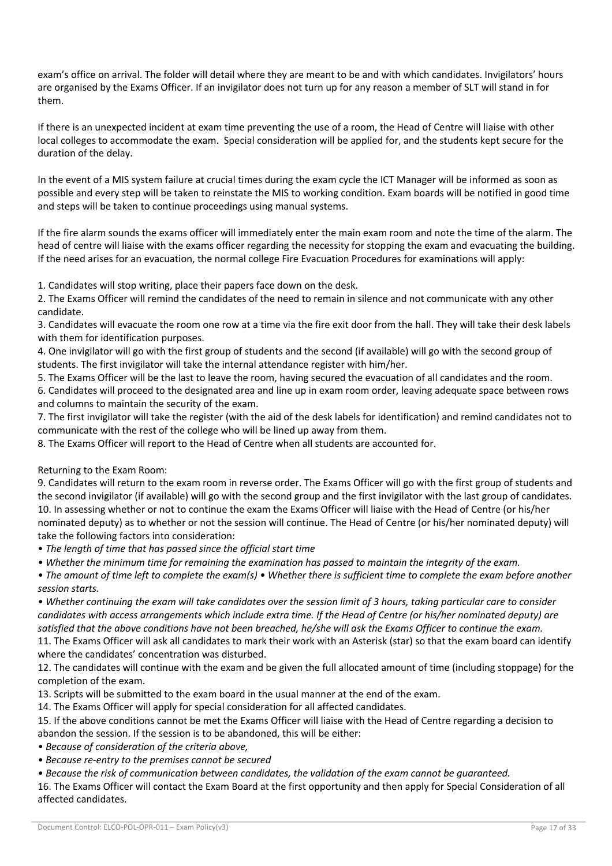exam's office on arrival. The folder will detail where they are meant to be and with which candidates. Invigilators' hours are organised by the Exams Officer. If an invigilator does not turn up for any reason a member of SLT will stand in for them.

If there is an unexpected incident at exam time preventing the use of a room, the Head of Centre will liaise with other local colleges to accommodate the exam. Special consideration will be applied for, and the students kept secure for the duration of the delay.

In the event of a MIS system failure at crucial times during the exam cycle the ICT Manager will be informed as soon as possible and every step will be taken to reinstate the MIS to working condition. Exam boards will be notified in good time and steps will be taken to continue proceedings using manual systems.

If the fire alarm sounds the exams officer will immediately enter the main exam room and note the time of the alarm. The head of centre will liaise with the exams officer regarding the necessity for stopping the exam and evacuating the building. If the need arises for an evacuation, the normal college Fire Evacuation Procedures for examinations will apply:

1. Candidates will stop writing, place their papers face down on the desk.

2. The Exams Officer will remind the candidates of the need to remain in silence and not communicate with any other candidate.

3. Candidates will evacuate the room one row at a time via the fire exit door from the hall. They will take their desk labels with them for identification purposes.

4. One invigilator will go with the first group of students and the second (if available) will go with the second group of students. The first invigilator will take the internal attendance register with him/her.

5. The Exams Officer will be the last to leave the room, having secured the evacuation of all candidates and the room.

6. Candidates will proceed to the designated area and line up in exam room order, leaving adequate space between rows and columns to maintain the security of the exam.

7. The first invigilator will take the register (with the aid of the desk labels for identification) and remind candidates not to communicate with the rest of the college who will be lined up away from them.

8. The Exams Officer will report to the Head of Centre when all students are accounted for.

# Returning to the Exam Room:

9. Candidates will return to the exam room in reverse order. The Exams Officer will go with the first group of students and the second invigilator (if available) will go with the second group and the first invigilator with the last group of candidates. 10. In assessing whether or not to continue the exam the Exams Officer will liaise with the Head of Centre (or his/her nominated deputy) as to whether or not the session will continue. The Head of Centre (or his/her nominated deputy) will take the following factors into consideration:

• *The length of time that has passed since the official start time* 

*• Whether the minimum time for remaining the examination has passed to maintain the integrity of the exam.* 

*• The amount of time left to complete the exam(s) • Whether there is sufficient time to complete the exam before another session starts.* 

*• Whether continuing the exam will take candidates over the session limit of 3 hours, taking particular care to consider candidates with access arrangements which include extra time. If the Head of Centre (or his/her nominated deputy) are satisfied that the above conditions have not been breached, he/she will ask the Exams Officer to continue the exam.* 

11. The Exams Officer will ask all candidates to mark their work with an Asterisk (star) so that the exam board can identify where the candidates' concentration was disturbed.

12. The candidates will continue with the exam and be given the full allocated amount of time (including stoppage) for the completion of the exam.

13. Scripts will be submitted to the exam board in the usual manner at the end of the exam.

14. The Exams Officer will apply for special consideration for all affected candidates.

15. If the above conditions cannot be met the Exams Officer will liaise with the Head of Centre regarding a decision to abandon the session. If the session is to be abandoned, this will be either:

*• Because of consideration of the criteria above,* 

*• Because re-entry to the premises cannot be secured* 

*• Because the risk of communication between candidates, the validation of the exam cannot be guaranteed.*

16. The Exams Officer will contact the Exam Board at the first opportunity and then apply for Special Consideration of all affected candidates.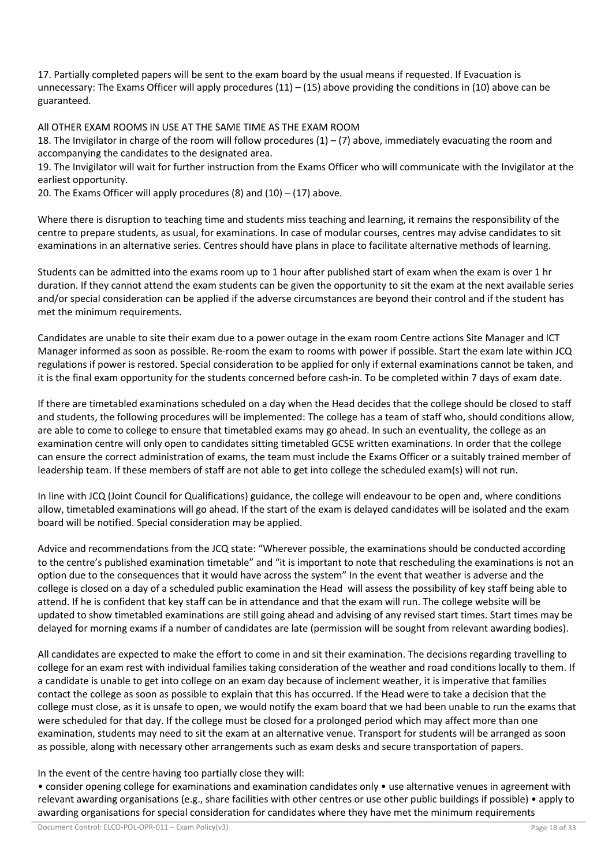17. Partially completed papers will be sent to the exam board by the usual means if requested. If Evacuation is unnecessary: The Exams Officer will apply procedures  $(11) - (15)$  above providing the conditions in  $(10)$  above can be guaranteed.

All OTHER EXAM ROOMS IN USE AT THE SAME TIME AS THE EXAM ROOM

18. The Invigilator in charge of the room will follow procedures  $(1) - (7)$  above, immediately evacuating the room and accompanying the candidates to the designated area.

19. The Invigilator will wait for further instruction from the Exams Officer who will communicate with the Invigilator at the earliest opportunity.

20. The Exams Officer will apply procedures  $(8)$  and  $(10) - (17)$  above.

Where there is disruption to teaching time and students miss teaching and learning, it remains the responsibility of the centre to prepare students, as usual, for examinations. In case of modular courses, centres may advise candidates to sit examinations in an alternative series. Centres should have plans in place to facilitate alternative methods of learning.

Students can be admitted into the exams room up to 1 hour after published start of exam when the exam is over 1 hr duration. If they cannot attend the exam students can be given the opportunity to sit the exam at the next available series and/or special consideration can be applied if the adverse circumstances are beyond their control and if the student has met the minimum requirements.

Candidates are unable to site their exam due to a power outage in the exam room Centre actions Site Manager and ICT Manager informed as soon as possible. Re-room the exam to rooms with power if possible. Start the exam late within JCQ regulations if power is restored. Special consideration to be applied for only if external examinations cannot be taken, and it is the final exam opportunity for the students concerned before cash-in. To be completed within 7 days of exam date.

If there are timetabled examinations scheduled on a day when the Head decides that the college should be closed to staff and students, the following procedures will be implemented: The college has a team of staff who, should conditions allow, are able to come to college to ensure that timetabled exams may go ahead. In such an eventuality, the college as an examination centre will only open to candidates sitting timetabled GCSE written examinations. In order that the college can ensure the correct administration of exams, the team must include the Exams Officer or a suitably trained member of leadership team. If these members of staff are not able to get into college the scheduled exam(s) will not run.

In line with JCQ (Joint Council for Qualifications) guidance, the college will endeavour to be open and, where conditions allow, timetabled examinations will go ahead. If the start of the exam is delayed candidates will be isolated and the exam board will be notified. Special consideration may be applied.

Advice and recommendations from the JCQ state: "Wherever possible, the examinations should be conducted according to the centre's published examination timetable" and "it is important to note that rescheduling the examinations is not an option due to the consequences that it would have across the system" In the event that weather is adverse and the college is closed on a day of a scheduled public examination the Head will assess the possibility of key staff being able to attend. If he is confident that key staff can be in attendance and that the exam will run. The college website will be updated to show timetabled examinations are still going ahead and advising of any revised start times. Start times may be delayed for morning exams if a number of candidates are late (permission will be sought from relevant awarding bodies).

All candidates are expected to make the effort to come in and sit their examination. The decisions regarding travelling to college for an exam rest with individual families taking consideration of the weather and road conditions locally to them. If a candidate is unable to get into college on an exam day because of inclement weather, it is imperative that families contact the college as soon as possible to explain that this has occurred. If the Head were to take a decision that the college must close, as it is unsafe to open, we would notify the exam board that we had been unable to run the exams that were scheduled for that day. If the college must be closed for a prolonged period which may affect more than one examination, students may need to sit the exam at an alternative venue. Transport for students will be arranged as soon as possible, along with necessary other arrangements such as exam desks and secure transportation of papers.

In the event of the centre having too partially close they will:

• consider opening college for examinations and examination candidates only • use alternative venues in agreement with relevant awarding organisations (e.g., share facilities with other centres or use other public buildings if possible) • apply to awarding organisations for special consideration for candidates where they have met the minimum requirements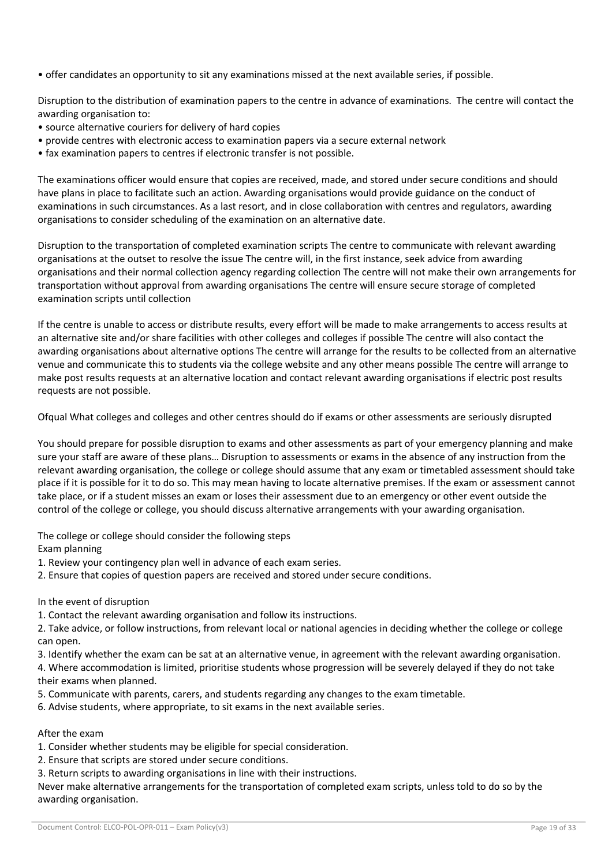• offer candidates an opportunity to sit any examinations missed at the next available series, if possible.

Disruption to the distribution of examination papers to the centre in advance of examinations. The centre will contact the awarding organisation to:

- source alternative couriers for delivery of hard copies
- provide centres with electronic access to examination papers via a secure external network
- fax examination papers to centres if electronic transfer is not possible.

The examinations officer would ensure that copies are received, made, and stored under secure conditions and should have plans in place to facilitate such an action. Awarding organisations would provide guidance on the conduct of examinations in such circumstances. As a last resort, and in close collaboration with centres and regulators, awarding organisations to consider scheduling of the examination on an alternative date.

Disruption to the transportation of completed examination scripts The centre to communicate with relevant awarding organisations at the outset to resolve the issue The centre will, in the first instance, seek advice from awarding organisations and their normal collection agency regarding collection The centre will not make their own arrangements for transportation without approval from awarding organisations The centre will ensure secure storage of completed examination scripts until collection

If the centre is unable to access or distribute results, every effort will be made to make arrangements to access results at an alternative site and/or share facilities with other colleges and colleges if possible The centre will also contact the awarding organisations about alternative options The centre will arrange for the results to be collected from an alternative venue and communicate this to students via the college website and any other means possible The centre will arrange to make post results requests at an alternative location and contact relevant awarding organisations if electric post results requests are not possible.

Ofqual What colleges and colleges and other centres should do if exams or other assessments are seriously disrupted

You should prepare for possible disruption to exams and other assessments as part of your emergency planning and make sure your staff are aware of these plans… Disruption to assessments or exams in the absence of any instruction from the relevant awarding organisation, the college or college should assume that any exam or timetabled assessment should take place if it is possible for it to do so. This may mean having to locate alternative premises. If the exam or assessment cannot take place, or if a student misses an exam or loses their assessment due to an emergency or other event outside the control of the college or college, you should discuss alternative arrangements with your awarding organisation.

The college or college should consider the following steps Exam planning

- 1. Review your contingency plan well in advance of each exam series.
- 2. Ensure that copies of question papers are received and stored under secure conditions.
- In the event of disruption
- 1. Contact the relevant awarding organisation and follow its instructions.

2. Take advice, or follow instructions, from relevant local or national agencies in deciding whether the college or college can open.

3. Identify whether the exam can be sat at an alternative venue, in agreement with the relevant awarding organisation. 4. Where accommodation is limited, prioritise students whose progression will be severely delayed if they do not take their exams when planned.

- 5. Communicate with parents, carers, and students regarding any changes to the exam timetable.
- 6. Advise students, where appropriate, to sit exams in the next available series.

# After the exam

- 1. Consider whether students may be eligible for special consideration.
- 2. Ensure that scripts are stored under secure conditions.
- 3. Return scripts to awarding organisations in line with their instructions.

Never make alternative arrangements for the transportation of completed exam scripts, unless told to do so by the awarding organisation.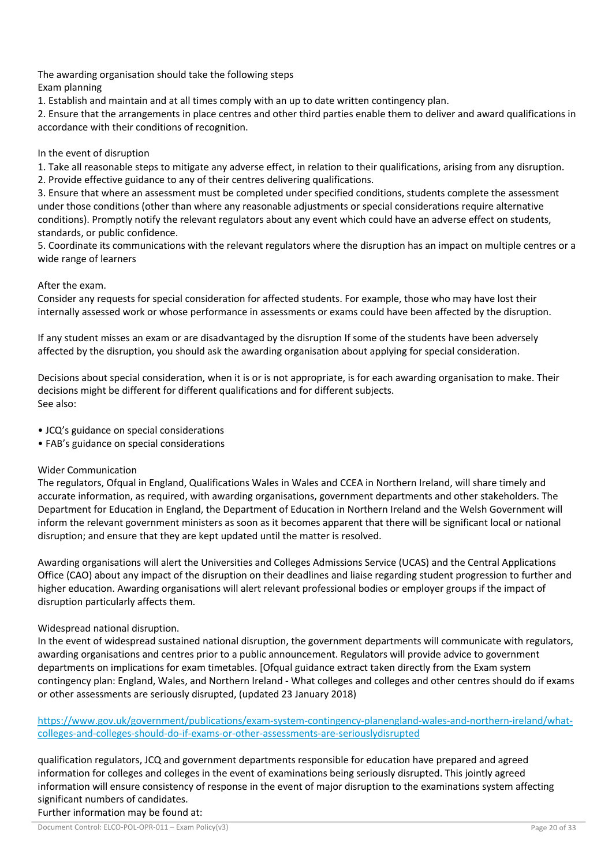The awarding organisation should take the following steps Exam planning

1. Establish and maintain and at all times comply with an up to date written contingency plan.

2. Ensure that the arrangements in place centres and other third parties enable them to deliver and award qualifications in accordance with their conditions of recognition.

# In the event of disruption

1. Take all reasonable steps to mitigate any adverse effect, in relation to their qualifications, arising from any disruption. 2. Provide effective guidance to any of their centres delivering qualifications.

3. Ensure that where an assessment must be completed under specified conditions, students complete the assessment under those conditions (other than where any reasonable adjustments or special considerations require alternative conditions). Promptly notify the relevant regulators about any event which could have an adverse effect on students, standards, or public confidence.

5. Coordinate its communications with the relevant regulators where the disruption has an impact on multiple centres or a wide range of learners

# After the exam.

Consider any requests for special consideration for affected students. For example, those who may have lost their internally assessed work or whose performance in assessments or exams could have been affected by the disruption.

If any student misses an exam or are disadvantaged by the disruption If some of the students have been adversely affected by the disruption, you should ask the awarding organisation about applying for special consideration.

Decisions about special consideration, when it is or is not appropriate, is for each awarding organisation to make. Their decisions might be different for different qualifications and for different subjects. See also:

• JCQ's guidance on special considerations

• FAB's guidance on special considerations

# Wider Communication

The regulators, Ofqual in England, Qualifications Wales in Wales and CCEA in Northern Ireland, will share timely and accurate information, as required, with awarding organisations, government departments and other stakeholders. The Department for Education in England, the Department of Education in Northern Ireland and the Welsh Government will inform the relevant government ministers as soon as it becomes apparent that there will be significant local or national disruption; and ensure that they are kept updated until the matter is resolved.

Awarding organisations will alert the Universities and Colleges Admissions Service (UCAS) and the Central Applications Office (CAO) about any impact of the disruption on their deadlines and liaise regarding student progression to further and higher education. Awarding organisations will alert relevant professional bodies or employer groups if the impact of disruption particularly affects them.

# Widespread national disruption.

In the event of widespread sustained national disruption, the government departments will communicate with regulators, awarding organisations and centres prior to a public announcement. Regulators will provide advice to government departments on implications for exam timetables. [Ofqual guidance extract taken directly from the Exam system contingency plan: England, Wales, and Northern Ireland - What colleges and colleges and other centres should do if exams or other assessments are seriously disrupted, (updated 23 January 2018)

https://www.gov.uk/government/publications/exam-system-contingency-planengland-wales-and-northern-ireland/whatcolleges-and-colleges-should-do-if-exams-or-other-assessments-are-seriouslydisrupted

qualification regulators, JCQ and government departments responsible for education have prepared and agreed information for colleges and colleges in the event of examinations being seriously disrupted. This jointly agreed information will ensure consistency of response in the event of major disruption to the examinations system affecting significant numbers of candidates.

Further information may be found at: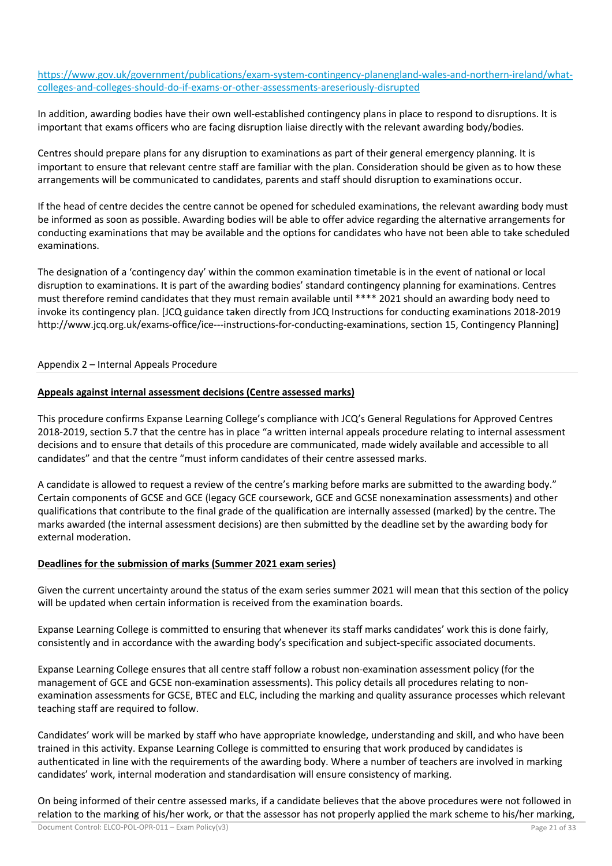https://www.gov.uk/government/publications/exam-system-contingency-planengland-wales-and-northern-ireland/whatcolleges-and-colleges-should-do-if-exams-or-other-assessments-areseriously-disrupted

In addition, awarding bodies have their own well-established contingency plans in place to respond to disruptions. It is important that exams officers who are facing disruption liaise directly with the relevant awarding body/bodies.

Centres should prepare plans for any disruption to examinations as part of their general emergency planning. It is important to ensure that relevant centre staff are familiar with the plan. Consideration should be given as to how these arrangements will be communicated to candidates, parents and staff should disruption to examinations occur.

If the head of centre decides the centre cannot be opened for scheduled examinations, the relevant awarding body must be informed as soon as possible. Awarding bodies will be able to offer advice regarding the alternative arrangements for conducting examinations that may be available and the options for candidates who have not been able to take scheduled examinations.

The designation of a 'contingency day' within the common examination timetable is in the event of national or local disruption to examinations. It is part of the awarding bodies' standard contingency planning for examinations. Centres must therefore remind candidates that they must remain available until \*\*\*\* 2021 should an awarding body need to invoke its contingency plan. [JCQ guidance taken directly from JCQ Instructions for conducting examinations 2018-2019 http://www.jcq.org.uk/exams-office/ice---instructions-for-conducting-examinations, section 15, Contingency Planning]

# Appendix 2 – Internal Appeals Procedure

# **Appeals against internal assessment decisions (Centre assessed marks)**

This procedure confirms Expanse Learning College's compliance with JCQ's General Regulations for Approved Centres 2018-2019, section 5.7 that the centre has in place "a written internal appeals procedure relating to internal assessment decisions and to ensure that details of this procedure are communicated, made widely available and accessible to all candidates" and that the centre "must inform candidates of their centre assessed marks.

A candidate is allowed to request a review of the centre's marking before marks are submitted to the awarding body." Certain components of GCSE and GCE (legacy GCE coursework, GCE and GCSE nonexamination assessments) and other qualifications that contribute to the final grade of the qualification are internally assessed (marked) by the centre. The marks awarded (the internal assessment decisions) are then submitted by the deadline set by the awarding body for external moderation.

## **Deadlines for the submission of marks (Summer 2021 exam series)**

Given the current uncertainty around the status of the exam series summer 2021 will mean that this section of the policy will be updated when certain information is received from the examination boards.

Expanse Learning College is committed to ensuring that whenever its staff marks candidates' work this is done fairly, consistently and in accordance with the awarding body's specification and subject-specific associated documents.

Expanse Learning College ensures that all centre staff follow a robust non-examination assessment policy (for the management of GCE and GCSE non-examination assessments). This policy details all procedures relating to nonexamination assessments for GCSE, BTEC and ELC, including the marking and quality assurance processes which relevant teaching staff are required to follow.

Candidates' work will be marked by staff who have appropriate knowledge, understanding and skill, and who have been trained in this activity. Expanse Learning College is committed to ensuring that work produced by candidates is authenticated in line with the requirements of the awarding body. Where a number of teachers are involved in marking candidates' work, internal moderation and standardisation will ensure consistency of marking.

On being informed of their centre assessed marks, if a candidate believes that the above procedures were not followed in relation to the marking of his/her work, or that the assessor has not properly applied the mark scheme to his/her marking,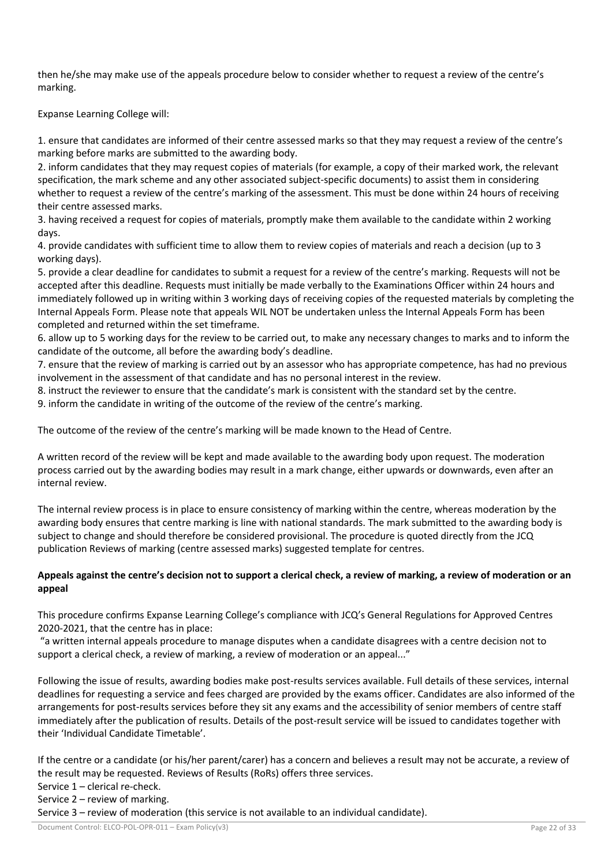then he/she may make use of the appeals procedure below to consider whether to request a review of the centre's marking.

Expanse Learning College will:

1. ensure that candidates are informed of their centre assessed marks so that they may request a review of the centre's marking before marks are submitted to the awarding body.

2. inform candidates that they may request copies of materials (for example, a copy of their marked work, the relevant specification, the mark scheme and any other associated subject-specific documents) to assist them in considering whether to request a review of the centre's marking of the assessment. This must be done within 24 hours of receiving their centre assessed marks.

3. having received a request for copies of materials, promptly make them available to the candidate within 2 working days.

4. provide candidates with sufficient time to allow them to review copies of materials and reach a decision (up to 3 working days).

5. provide a clear deadline for candidates to submit a request for a review of the centre's marking. Requests will not be accepted after this deadline. Requests must initially be made verbally to the Examinations Officer within 24 hours and immediately followed up in writing within 3 working days of receiving copies of the requested materials by completing the Internal Appeals Form. Please note that appeals WIL NOT be undertaken unless the Internal Appeals Form has been completed and returned within the set timeframe.

6. allow up to 5 working days for the review to be carried out, to make any necessary changes to marks and to inform the candidate of the outcome, all before the awarding body's deadline.

7. ensure that the review of marking is carried out by an assessor who has appropriate competence, has had no previous involvement in the assessment of that candidate and has no personal interest in the review.

8. instruct the reviewer to ensure that the candidate's mark is consistent with the standard set by the centre.

9. inform the candidate in writing of the outcome of the review of the centre's marking.

The outcome of the review of the centre's marking will be made known to the Head of Centre.

A written record of the review will be kept and made available to the awarding body upon request. The moderation process carried out by the awarding bodies may result in a mark change, either upwards or downwards, even after an internal review.

The internal review process is in place to ensure consistency of marking within the centre, whereas moderation by the awarding body ensures that centre marking is line with national standards. The mark submitted to the awarding body is subject to change and should therefore be considered provisional. The procedure is quoted directly from the JCQ publication Reviews of marking (centre assessed marks) suggested template for centres.

# **Appeals against the centre's decision not to support a clerical check, a review of marking, a review of moderation or an appeal**

This procedure confirms Expanse Learning College's compliance with JCQ's General Regulations for Approved Centres 2020-2021, that the centre has in place:

"a written internal appeals procedure to manage disputes when a candidate disagrees with a centre decision not to support a clerical check, a review of marking, a review of moderation or an appeal..."

Following the issue of results, awarding bodies make post-results services available. Full details of these services, internal deadlines for requesting a service and fees charged are provided by the exams officer. Candidates are also informed of the arrangements for post-results services before they sit any exams and the accessibility of senior members of centre staff immediately after the publication of results. Details of the post-result service will be issued to candidates together with their 'Individual Candidate Timetable'.

If the centre or a candidate (or his/her parent/carer) has a concern and believes a result may not be accurate, a review of the result may be requested. Reviews of Results (RoRs) offers three services.

Service 1 – clerical re-check.

Service 2 – review of marking.

Service 3 – review of moderation (this service is not available to an individual candidate).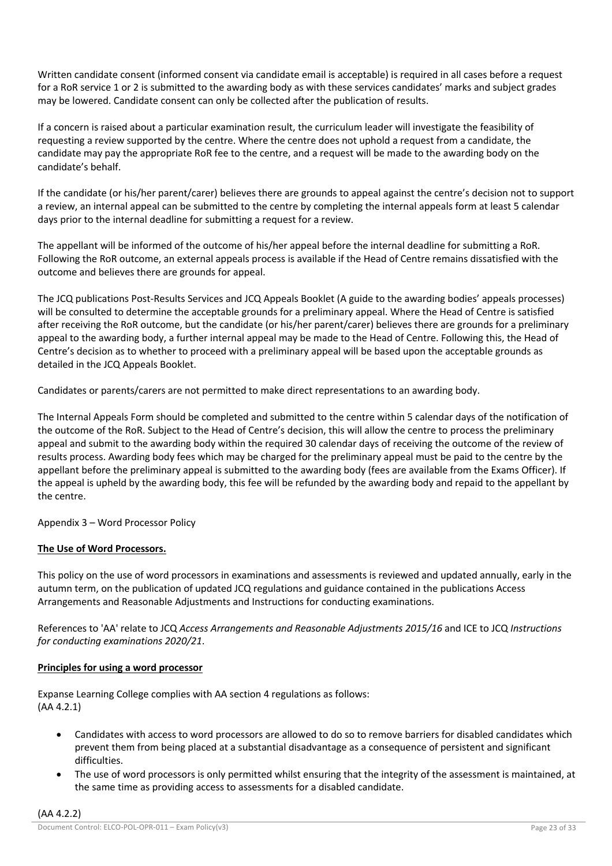Written candidate consent (informed consent via candidate email is acceptable) is required in all cases before a request for a RoR service 1 or 2 is submitted to the awarding body as with these services candidates' marks and subject grades may be lowered. Candidate consent can only be collected after the publication of results.

If a concern is raised about a particular examination result, the curriculum leader will investigate the feasibility of requesting a review supported by the centre. Where the centre does not uphold a request from a candidate, the candidate may pay the appropriate RoR fee to the centre, and a request will be made to the awarding body on the candidate's behalf.

If the candidate (or his/her parent/carer) believes there are grounds to appeal against the centre's decision not to support a review, an internal appeal can be submitted to the centre by completing the internal appeals form at least 5 calendar days prior to the internal deadline for submitting a request for a review.

The appellant will be informed of the outcome of his/her appeal before the internal deadline for submitting a RoR. Following the RoR outcome, an external appeals process is available if the Head of Centre remains dissatisfied with the outcome and believes there are grounds for appeal.

The JCQ publications Post-Results Services and JCQ Appeals Booklet (A guide to the awarding bodies' appeals processes) will be consulted to determine the acceptable grounds for a preliminary appeal. Where the Head of Centre is satisfied after receiving the RoR outcome, but the candidate (or his/her parent/carer) believes there are grounds for a preliminary appeal to the awarding body, a further internal appeal may be made to the Head of Centre. Following this, the Head of Centre's decision as to whether to proceed with a preliminary appeal will be based upon the acceptable grounds as detailed in the JCQ Appeals Booklet.

Candidates or parents/carers are not permitted to make direct representations to an awarding body.

The Internal Appeals Form should be completed and submitted to the centre within 5 calendar days of the notification of the outcome of the RoR. Subject to the Head of Centre's decision, this will allow the centre to process the preliminary appeal and submit to the awarding body within the required 30 calendar days of receiving the outcome of the review of results process. Awarding body fees which may be charged for the preliminary appeal must be paid to the centre by the appellant before the preliminary appeal is submitted to the awarding body (fees are available from the Exams Officer). If the appeal is upheld by the awarding body, this fee will be refunded by the awarding body and repaid to the appellant by the centre.

Appendix 3 – Word Processor Policy

# **The Use of Word Processors.**

This policy on the use of word processors in examinations and assessments is reviewed and updated annually, early in the autumn term, on the publication of updated JCQ regulations and guidance contained in the publications Access Arrangements and Reasonable Adjustments and Instructions for conducting examinations.

References to 'AA' relate to JCQ *Access Arrangements and Reasonable Adjustments 2015/16* and ICE to JCQ *Instructions for conducting examinations 2020/21*.

# **Principles for using a word processor**

Expanse Learning College complies with AA section 4 regulations as follows: (AA 4.2.1)

- Candidates with access to word processors are allowed to do so to remove barriers for disabled candidates which prevent them from being placed at a substantial disadvantage as a consequence of persistent and significant difficulties.
- The use of word processors is only permitted whilst ensuring that the integrity of the assessment is maintained, at the same time as providing access to assessments for a disabled candidate.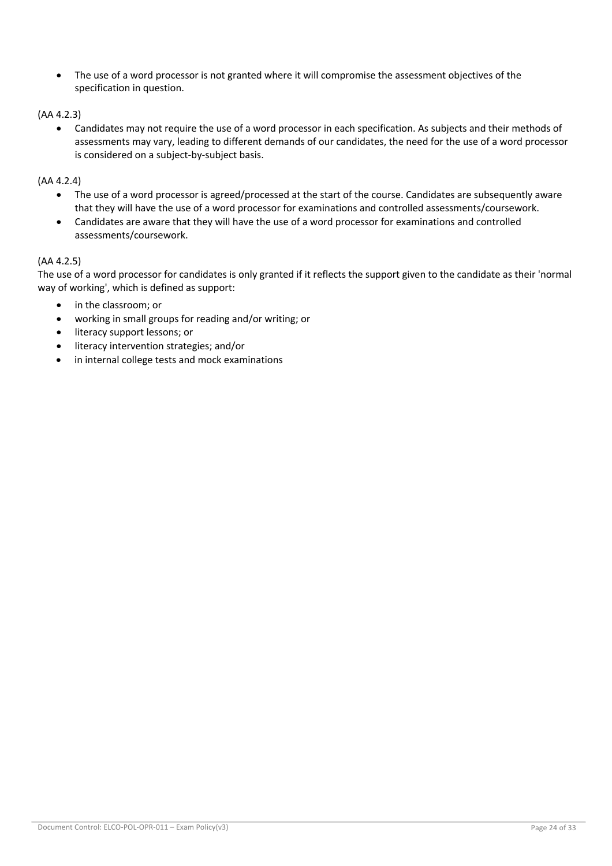• The use of a word processor is not granted where it will compromise the assessment objectives of the specification in question.

(AA 4.2.3)

• Candidates may not require the use of a word processor in each specification. As subjects and their methods of assessments may vary, leading to different demands of our candidates, the need for the use of a word processor is considered on a subject-by-subject basis.

(AA 4.2.4)

- The use of a word processor is agreed/processed at the start of the course. Candidates are subsequently aware that they will have the use of a word processor for examinations and controlled assessments/coursework.
- Candidates are aware that they will have the use of a word processor for examinations and controlled assessments/coursework.

# (AA 4.2.5)

The use of a word processor for candidates is only granted if it reflects the support given to the candidate as their 'normal way of working', which is defined as support:

- in the classroom; or
- working in small groups for reading and/or writing; or
- literacy support lessons; or
- literacy intervention strategies; and/or
- in internal college tests and mock examinations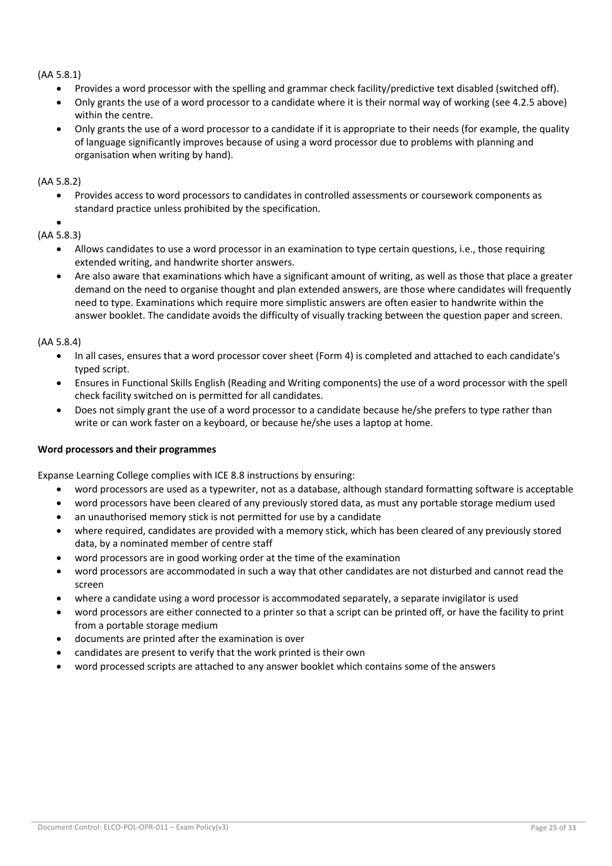# (AA 5.8.1)

- Provides a word processor with the spelling and grammar check facility/predictive text disabled (switched off).
- Only grants the use of a word processor to a candidate where it is their normal way of working (see 4.2.5 above) within the centre.
- Only grants the use of a word processor to a candidate if it is appropriate to their needs (for example, the quality of language significantly improves because of using a word processor due to problems with planning and organisation when writing by hand).

# (AA 5.8.2)

• Provides access to word processors to candidates in controlled assessments or coursework components as standard practice unless prohibited by the specification.

#### • (AA 5.8.3)

- Allows candidates to use a word processor in an examination to type certain questions, i.e., those requiring extended writing, and handwrite shorter answers.
- Are also aware that examinations which have a significant amount of writing, as well as those that place a greater demand on the need to organise thought and plan extended answers, are those where candidates will frequently need to type. Examinations which require more simplistic answers are often easier to handwrite within the answer booklet. The candidate avoids the difficulty of visually tracking between the question paper and screen.

# (AA 5.8.4)

- In all cases, ensures that a word processor cover sheet (Form 4) is completed and attached to each candidate's typed script.
- Ensures in Functional Skills English (Reading and Writing components) the use of a word processor with the spell check facility switched on is permitted for all candidates.
- Does not simply grant the use of a word processor to a candidate because he/she prefers to type rather than write or can work faster on a keyboard, or because he/she uses a laptop at home.

# **Word processors and their programmes**

Expanse Learning College complies with ICE 8.8 instructions by ensuring:

- word processors are used as a typewriter, not as a database, although standard formatting software is acceptable
- word processors have been cleared of any previously stored data, as must any portable storage medium used
- an unauthorised memory stick is not permitted for use by a candidate
- where required, candidates are provided with a memory stick, which has been cleared of any previously stored data, by a nominated member of centre staff
- word processors are in good working order at the time of the examination
- word processors are accommodated in such a way that other candidates are not disturbed and cannot read the screen
- where a candidate using a word processor is accommodated separately, a separate invigilator is used
- word processors are either connected to a printer so that a script can be printed off, or have the facility to print from a portable storage medium
- documents are printed after the examination is over
- candidates are present to verify that the work printed is their own
- word processed scripts are attached to any answer booklet which contains some of the answers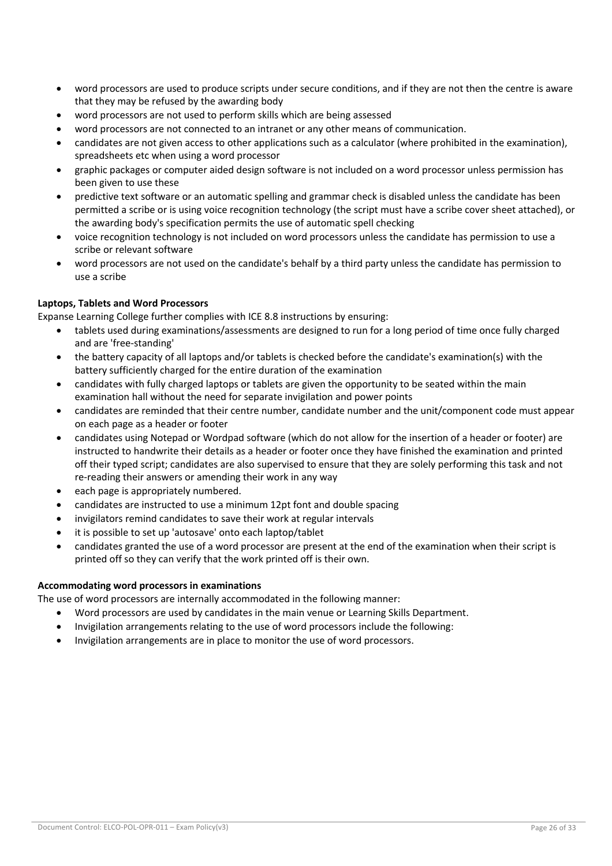- word processors are used to produce scripts under secure conditions, and if they are not then the centre is aware that they may be refused by the awarding body
- word processors are not used to perform skills which are being assessed
- word processors are not connected to an intranet or any other means of communication.
- candidates are not given access to other applications such as a calculator (where prohibited in the examination), spreadsheets etc when using a word processor
- graphic packages or computer aided design software is not included on a word processor unless permission has been given to use these
- predictive text software or an automatic spelling and grammar check is disabled unless the candidate has been permitted a scribe or is using voice recognition technology (the script must have a scribe cover sheet attached), or the awarding body's specification permits the use of automatic spell checking
- voice recognition technology is not included on word processors unless the candidate has permission to use a scribe or relevant software
- word processors are not used on the candidate's behalf by a third party unless the candidate has permission to use a scribe

# **Laptops, Tablets and Word Processors**

Expanse Learning College further complies with ICE 8.8 instructions by ensuring:

- tablets used during examinations/assessments are designed to run for a long period of time once fully charged and are 'free-standing'
- the battery capacity of all laptops and/or tablets is checked before the candidate's examination(s) with the battery sufficiently charged for the entire duration of the examination
- candidates with fully charged laptops or tablets are given the opportunity to be seated within the main examination hall without the need for separate invigilation and power points
- candidates are reminded that their centre number, candidate number and the unit/component code must appear on each page as a header or footer
- candidates using Notepad or Wordpad software (which do not allow for the insertion of a header or footer) are instructed to handwrite their details as a header or footer once they have finished the examination and printed off their typed script; candidates are also supervised to ensure that they are solely performing this task and not re-reading their answers or amending their work in any way
- each page is appropriately numbered.
- candidates are instructed to use a minimum 12pt font and double spacing
- invigilators remind candidates to save their work at regular intervals
- it is possible to set up 'autosave' onto each laptop/tablet
- candidates granted the use of a word processor are present at the end of the examination when their script is printed off so they can verify that the work printed off is their own.

# **Accommodating word processors in examinations**

The use of word processors are internally accommodated in the following manner:

- Word processors are used by candidates in the main venue or Learning Skills Department.
- Invigilation arrangements relating to the use of word processors include the following:
- Invigilation arrangements are in place to monitor the use of word processors.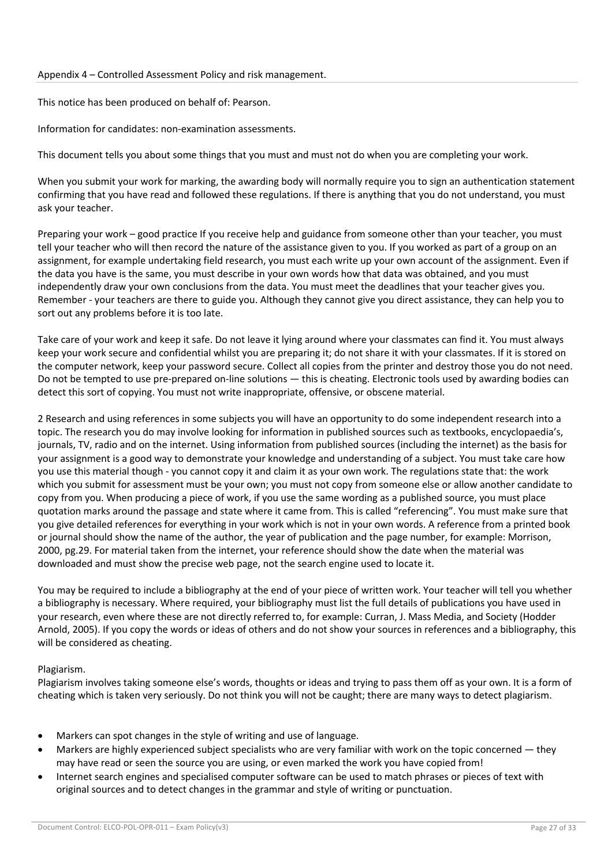# Appendix 4 – Controlled Assessment Policy and risk management.

This notice has been produced on behalf of: Pearson.

Information for candidates: non-examination assessments.

This document tells you about some things that you must and must not do when you are completing your work.

When you submit your work for marking, the awarding body will normally require you to sign an authentication statement confirming that you have read and followed these regulations. If there is anything that you do not understand, you must ask your teacher.

Preparing your work – good practice If you receive help and guidance from someone other than your teacher, you must tell your teacher who will then record the nature of the assistance given to you. If you worked as part of a group on an assignment, for example undertaking field research, you must each write up your own account of the assignment. Even if the data you have is the same, you must describe in your own words how that data was obtained, and you must independently draw your own conclusions from the data. You must meet the deadlines that your teacher gives you. Remember - your teachers are there to guide you. Although they cannot give you direct assistance, they can help you to sort out any problems before it is too late.

Take care of your work and keep it safe. Do not leave it lying around where your classmates can find it. You must always keep your work secure and confidential whilst you are preparing it; do not share it with your classmates. If it is stored on the computer network, keep your password secure. Collect all copies from the printer and destroy those you do not need. Do not be tempted to use pre-prepared on-line solutions — this is cheating. Electronic tools used by awarding bodies can detect this sort of copying. You must not write inappropriate, offensive, or obscene material.

2 Research and using references in some subjects you will have an opportunity to do some independent research into a topic. The research you do may involve looking for information in published sources such as textbooks, encyclopaedia's, journals, TV, radio and on the internet. Using information from published sources (including the internet) as the basis for your assignment is a good way to demonstrate your knowledge and understanding of a subject. You must take care how you use this material though - you cannot copy it and claim it as your own work. The regulations state that: the work which you submit for assessment must be your own; you must not copy from someone else or allow another candidate to copy from you. When producing a piece of work, if you use the same wording as a published source, you must place quotation marks around the passage and state where it came from. This is called "referencing". You must make sure that you give detailed references for everything in your work which is not in your own words. A reference from a printed book or journal should show the name of the author, the year of publication and the page number, for example: Morrison, 2000, pg.29. For material taken from the internet, your reference should show the date when the material was downloaded and must show the precise web page, not the search engine used to locate it.

You may be required to include a bibliography at the end of your piece of written work. Your teacher will tell you whether a bibliography is necessary. Where required, your bibliography must list the full details of publications you have used in your research, even where these are not directly referred to, for example: Curran, J. Mass Media, and Society (Hodder Arnold, 2005). If you copy the words or ideas of others and do not show your sources in references and a bibliography, this will be considered as cheating.

# Plagiarism.

Plagiarism involves taking someone else's words, thoughts or ideas and trying to pass them off as your own. It is a form of cheating which is taken very seriously. Do not think you will not be caught; there are many ways to detect plagiarism.

- Markers can spot changes in the style of writing and use of language.
- Markers are highly experienced subject specialists who are very familiar with work on the topic concerned they may have read or seen the source you are using, or even marked the work you have copied from!
- Internet search engines and specialised computer software can be used to match phrases or pieces of text with original sources and to detect changes in the grammar and style of writing or punctuation.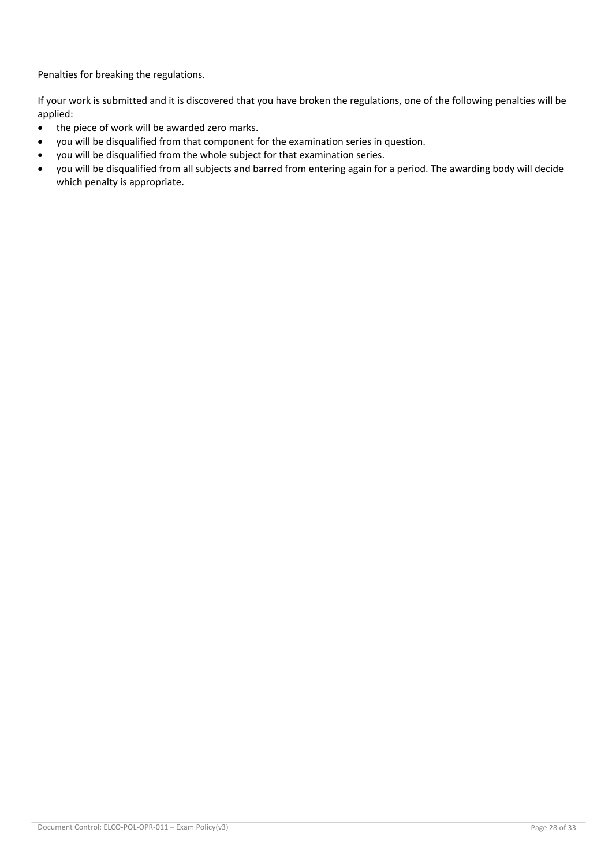Penalties for breaking the regulations.

If your work is submitted and it is discovered that you have broken the regulations, one of the following penalties will be applied:

- the piece of work will be awarded zero marks.
- you will be disqualified from that component for the examination series in question.
- you will be disqualified from the whole subject for that examination series.
- you will be disqualified from all subjects and barred from entering again for a period. The awarding body will decide which penalty is appropriate.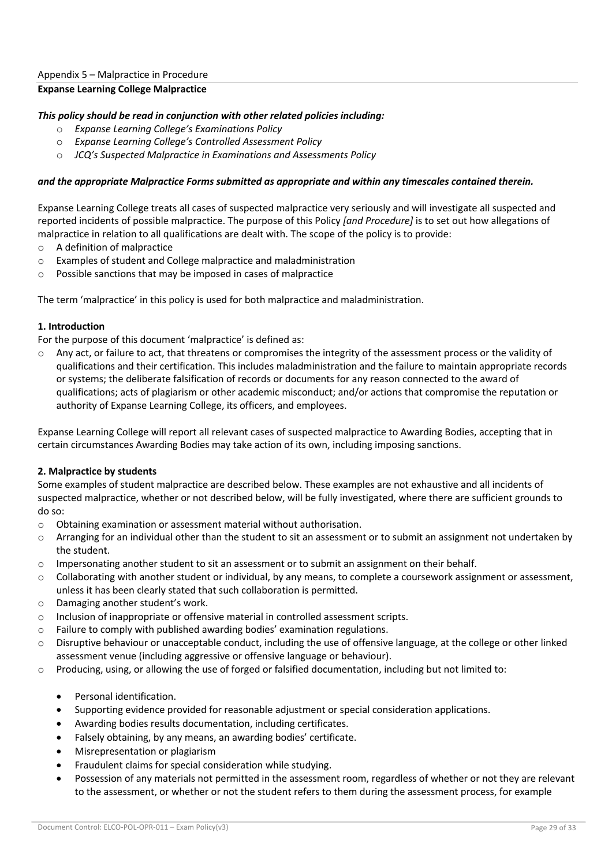# **Expanse Learning College Malpractice**

# *This policy should be read in conjunction with other related policies including:*

- o *Expanse Learning College's Examinations Policy*
- o *Expanse Learning College's Controlled Assessment Policy*
- o *JCQ's Suspected Malpractice in Examinations and Assessments Policy*

# *and the appropriate Malpractice Forms submitted as appropriate and within any timescales contained therein.*

Expanse Learning College treats all cases of suspected malpractice very seriously and will investigate all suspected and reported incidents of possible malpractice. The purpose of this Policy *[and Procedure]* is to set out how allegations of malpractice in relation to all qualifications are dealt with. The scope of the policy is to provide:

- o A definition of malpractice
- o Examples of student and College malpractice and maladministration
- o Possible sanctions that may be imposed in cases of malpractice

The term 'malpractice' in this policy is used for both malpractice and maladministration.

# **1. Introduction**

For the purpose of this document 'malpractice' is defined as:

 $\circ$  Any act, or failure to act, that threatens or compromises the integrity of the assessment process or the validity of qualifications and their certification. This includes maladministration and the failure to maintain appropriate records or systems; the deliberate falsification of records or documents for any reason connected to the award of qualifications; acts of plagiarism or other academic misconduct; and/or actions that compromise the reputation or authority of Expanse Learning College, its officers, and employees.

Expanse Learning College will report all relevant cases of suspected malpractice to Awarding Bodies, accepting that in certain circumstances Awarding Bodies may take action of its own, including imposing sanctions.

# **2. Malpractice by students**

Some examples of student malpractice are described below. These examples are not exhaustive and all incidents of suspected malpractice, whether or not described below, will be fully investigated, where there are sufficient grounds to do so:

- o Obtaining examination or assessment material without authorisation.
- $\circ$  Arranging for an individual other than the student to sit an assessment or to submit an assignment not undertaken by the student.
- o Impersonating another student to sit an assessment or to submit an assignment on their behalf.
- o Collaborating with another student or individual, by any means, to complete a coursework assignment or assessment, unless it has been clearly stated that such collaboration is permitted.
- o Damaging another student's work.
- o Inclusion of inappropriate or offensive material in controlled assessment scripts.
- $\circ$  Failure to comply with published awarding bodies' examination regulations.
- o Disruptive behaviour or unacceptable conduct, including the use of offensive language, at the college or other linked assessment venue (including aggressive or offensive language or behaviour).
- $\circ$  Producing, using, or allowing the use of forged or falsified documentation, including but not limited to:
	- Personal identification.
	- Supporting evidence provided for reasonable adjustment or special consideration applications.
	- Awarding bodies results documentation, including certificates.
	- Falsely obtaining, by any means, an awarding bodies' certificate.
	- Misrepresentation or plagiarism
	- Fraudulent claims for special consideration while studying.
	- Possession of any materials not permitted in the assessment room, regardless of whether or not they are relevant to the assessment, or whether or not the student refers to them during the assessment process, for example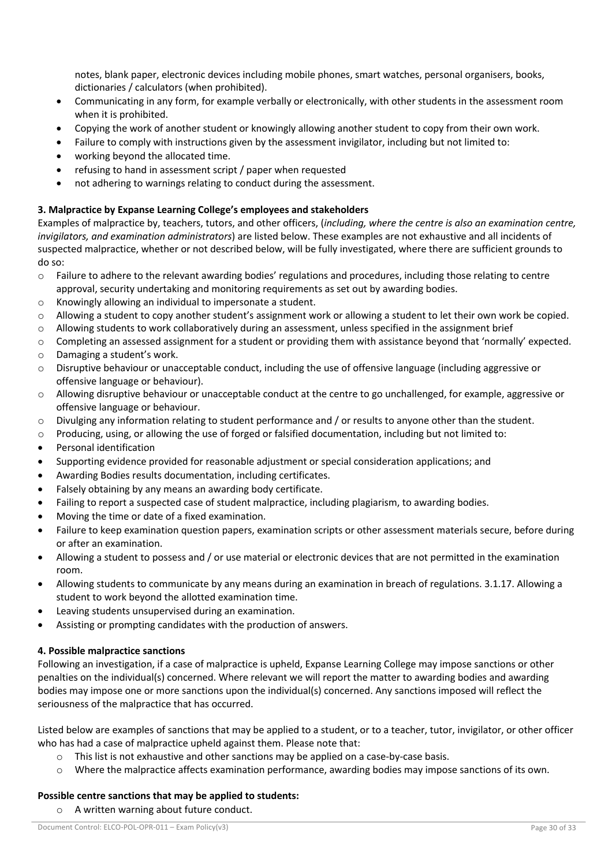notes, blank paper, electronic devices including mobile phones, smart watches, personal organisers, books, dictionaries / calculators (when prohibited).

- Communicating in any form, for example verbally or electronically, with other students in the assessment room when it is prohibited.
- Copying the work of another student or knowingly allowing another student to copy from their own work.
- Failure to comply with instructions given by the assessment invigilator, including but not limited to:
- working beyond the allocated time.
- refusing to hand in assessment script / paper when requested
- not adhering to warnings relating to conduct during the assessment.

# **3. Malpractice by Expanse Learning College's employees and stakeholders**

Examples of malpractice by, teachers, tutors, and other officers, (*including, where the centre is also an examination centre, invigilators, and examination administrators*) are listed below. These examples are not exhaustive and all incidents of suspected malpractice, whether or not described below, will be fully investigated, where there are sufficient grounds to do so:

- o Failure to adhere to the relevant awarding bodies' regulations and procedures, including those relating to centre approval, security undertaking and monitoring requirements as set out by awarding bodies.
- o Knowingly allowing an individual to impersonate a student.
- $\circ$  Allowing a student to copy another student's assignment work or allowing a student to let their own work be copied.
- $\circ$  Allowing students to work collaboratively during an assessment, unless specified in the assignment brief
- o Completing an assessed assignment for a student or providing them with assistance beyond that 'normally' expected.
- o Damaging a student's work.
- $\circ$  Disruptive behaviour or unacceptable conduct, including the use of offensive language (including aggressive or offensive language or behaviour).
- o Allowing disruptive behaviour or unacceptable conduct at the centre to go unchallenged, for example, aggressive or offensive language or behaviour.
- o Divulging any information relating to student performance and / or results to anyone other than the student.
- $\circ$  Producing, using, or allowing the use of forged or falsified documentation, including but not limited to:
- Personal identification
- Supporting evidence provided for reasonable adjustment or special consideration applications; and
- Awarding Bodies results documentation, including certificates.
- Falsely obtaining by any means an awarding body certificate.
- Failing to report a suspected case of student malpractice, including plagiarism, to awarding bodies.
- Moving the time or date of a fixed examination.
- Failure to keep examination question papers, examination scripts or other assessment materials secure, before during or after an examination.
- Allowing a student to possess and / or use material or electronic devices that are not permitted in the examination room.
- Allowing students to communicate by any means during an examination in breach of regulations. 3.1.17. Allowing a student to work beyond the allotted examination time.
- Leaving students unsupervised during an examination.
- Assisting or prompting candidates with the production of answers.

# **4. Possible malpractice sanctions**

Following an investigation, if a case of malpractice is upheld, Expanse Learning College may impose sanctions or other penalties on the individual(s) concerned. Where relevant we will report the matter to awarding bodies and awarding bodies may impose one or more sanctions upon the individual(s) concerned. Any sanctions imposed will reflect the seriousness of the malpractice that has occurred.

Listed below are examples of sanctions that may be applied to a student, or to a teacher, tutor, invigilator, or other officer who has had a case of malpractice upheld against them. Please note that:

- $\circ$  This list is not exhaustive and other sanctions may be applied on a case-by-case basis.
- o Where the malpractice affects examination performance, awarding bodies may impose sanctions of its own.

# **Possible centre sanctions that may be applied to students:**

o A written warning about future conduct.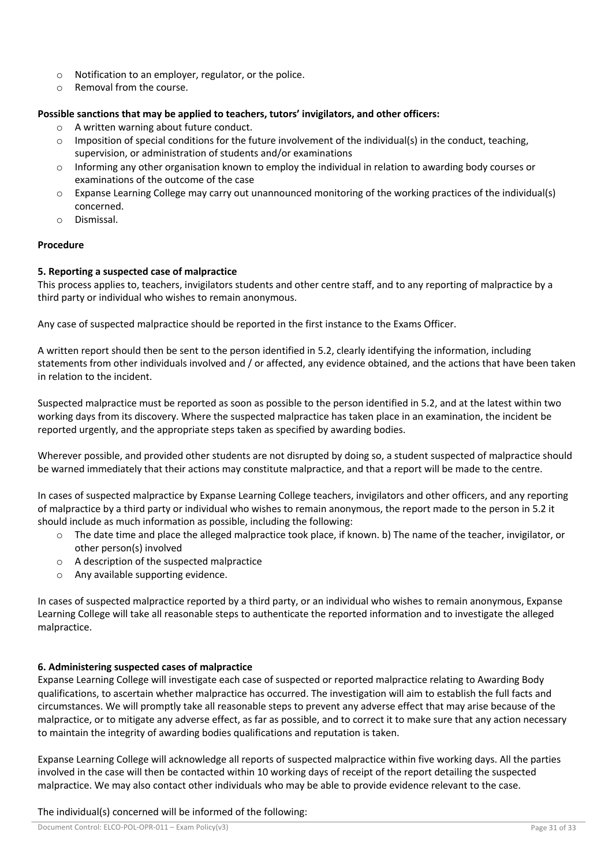- o Notification to an employer, regulator, or the police.
- o Removal from the course.

# **Possible sanctions that may be applied to teachers, tutors' invigilators, and other officers:**

- o A written warning about future conduct.
- $\circ$  Imposition of special conditions for the future involvement of the individual(s) in the conduct, teaching, supervision, or administration of students and/or examinations
- $\circ$  Informing any other organisation known to employ the individual in relation to awarding body courses or examinations of the outcome of the case
- $\circ$  Expanse Learning College may carry out unannounced monitoring of the working practices of the individual(s) concerned.
- o Dismissal.

# **Procedure**

# **5. Reporting a suspected case of malpractice**

This process applies to, teachers, invigilators students and other centre staff, and to any reporting of malpractice by a third party or individual who wishes to remain anonymous.

Any case of suspected malpractice should be reported in the first instance to the Exams Officer.

A written report should then be sent to the person identified in 5.2, clearly identifying the information, including statements from other individuals involved and / or affected, any evidence obtained, and the actions that have been taken in relation to the incident.

Suspected malpractice must be reported as soon as possible to the person identified in 5.2, and at the latest within two working days from its discovery. Where the suspected malpractice has taken place in an examination, the incident be reported urgently, and the appropriate steps taken as specified by awarding bodies.

Wherever possible, and provided other students are not disrupted by doing so, a student suspected of malpractice should be warned immediately that their actions may constitute malpractice, and that a report will be made to the centre.

In cases of suspected malpractice by Expanse Learning College teachers, invigilators and other officers, and any reporting of malpractice by a third party or individual who wishes to remain anonymous, the report made to the person in 5.2 it should include as much information as possible, including the following:

- $\circ$  The date time and place the alleged malpractice took place, if known. b) The name of the teacher, invigilator, or other person(s) involved
- o A description of the suspected malpractice
- o Any available supporting evidence.

In cases of suspected malpractice reported by a third party, or an individual who wishes to remain anonymous, Expanse Learning College will take all reasonable steps to authenticate the reported information and to investigate the alleged malpractice.

# **6. Administering suspected cases of malpractice**

Expanse Learning College will investigate each case of suspected or reported malpractice relating to Awarding Body qualifications, to ascertain whether malpractice has occurred. The investigation will aim to establish the full facts and circumstances. We will promptly take all reasonable steps to prevent any adverse effect that may arise because of the malpractice, or to mitigate any adverse effect, as far as possible, and to correct it to make sure that any action necessary to maintain the integrity of awarding bodies qualifications and reputation is taken.

Expanse Learning College will acknowledge all reports of suspected malpractice within five working days. All the parties involved in the case will then be contacted within 10 working days of receipt of the report detailing the suspected malpractice. We may also contact other individuals who may be able to provide evidence relevant to the case.

The individual(s) concerned will be informed of the following: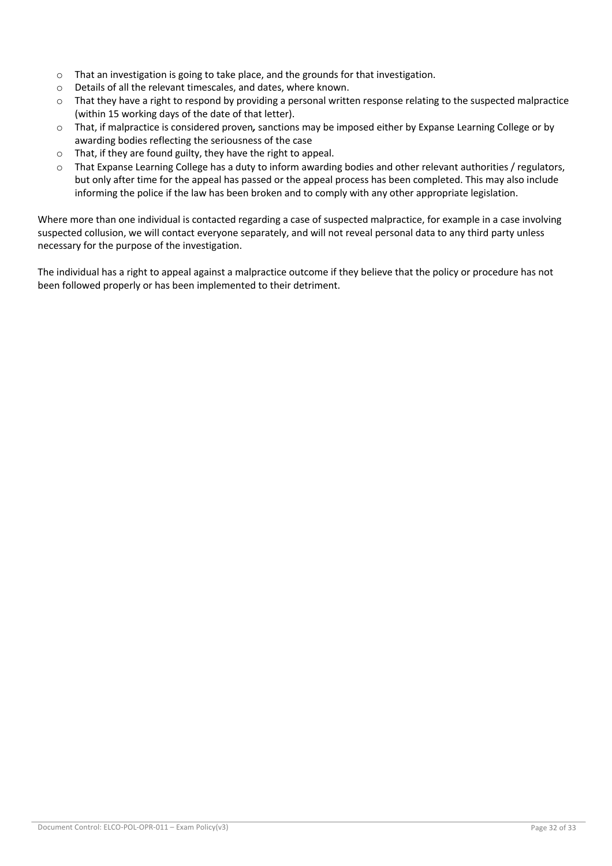- $\circ$  That an investigation is going to take place, and the grounds for that investigation.
- o Details of all the relevant timescales, and dates, where known.
- $\circ$  That they have a right to respond by providing a personal written response relating to the suspected malpractice (within 15 working days of the date of that letter).
- o That, if malpractice is considered proven*,* sanctions may be imposed either by Expanse Learning College or by awarding bodies reflecting the seriousness of the case
- o That, if they are found guilty, they have the right to appeal.
- $\circ$  That Expanse Learning College has a duty to inform awarding bodies and other relevant authorities / regulators, but only after time for the appeal has passed or the appeal process has been completed. This may also include informing the police if the law has been broken and to comply with any other appropriate legislation.

Where more than one individual is contacted regarding a case of suspected malpractice, for example in a case involving suspected collusion, we will contact everyone separately, and will not reveal personal data to any third party unless necessary for the purpose of the investigation.

The individual has a right to appeal against a malpractice outcome if they believe that the policy or procedure has not been followed properly or has been implemented to their detriment.